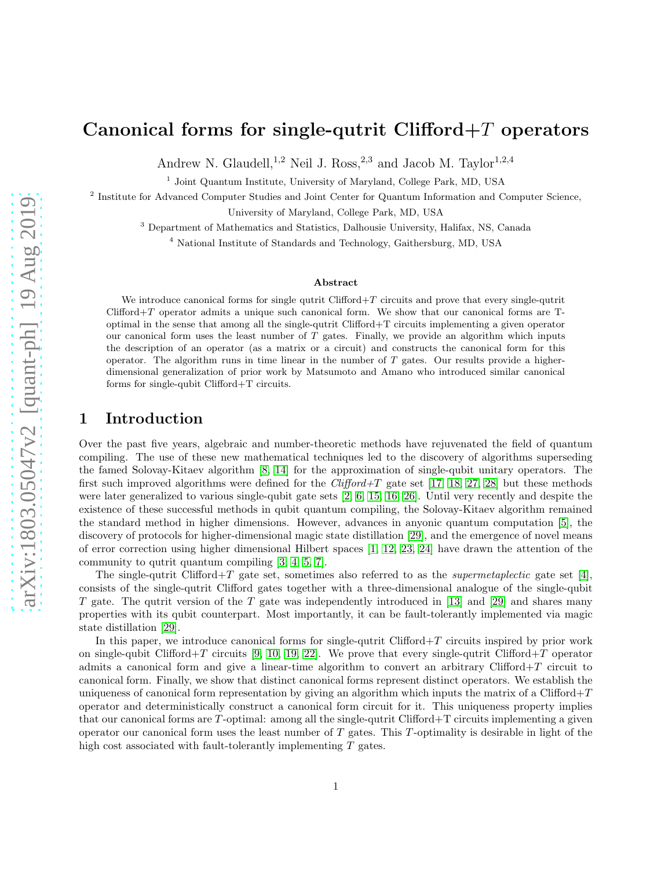# Canonical forms for single-qutrit Clifford $+T$  operators

Andrew N. Glaudell,<sup>1,2</sup> Neil J. Ross,<sup>2,3</sup> and Jacob M. Taylor<sup>1,2,4</sup>

<sup>1</sup> Joint Quantum Institute, University of Maryland, College Park, MD, USA

<sup>2</sup> Institute for Advanced Computer Studies and Joint Center for Quantum Information and Computer Science, University of Maryland, College Park, MD, USA

<sup>3</sup> Department of Mathematics and Statistics, Dalhousie University, Halifax, NS, Canada

<sup>4</sup> National Institute of Standards and Technology, Gaithersburg, MD, USA

#### Abstract

We introduce canonical forms for single qutrit Clifford $+T$  circuits and prove that every single-qutrit  $Clifford+T$  operator admits a unique such canonical form. We show that our canonical forms are  $T$ optimal in the sense that among all the single-qutrit Clifford+T circuits implementing a given operator our canonical form uses the least number of  $T$  gates. Finally, we provide an algorithm which inputs the description of an operator (as a matrix or a circuit) and constructs the canonical form for this operator. The algorithm runs in time linear in the number of  $T$  gates. Our results provide a higherdimensional generalization of prior work by Matsumoto and Amano who introduced similar canonical forms for single-qubit Clifford+T circuits.

### 1 Introduction

Over the past five years, algebraic and number-theoretic methods have rejuvenated the field of quantum compiling. The use of these new mathematical techniques led to the discovery of algorithms superseding the famed Solovay-Kitaev algorithm [\[8,](#page-15-0) [14\]](#page-15-1) for the approximation of single-qubit unitary operators. The first such improved algorithms were defined for the *Clifford+T* gate set [\[17,](#page-15-2) [18,](#page-15-3) [27,](#page-16-0) [28\]](#page-16-1) but these methods were later generalized to various single-qubit gate sets [\[2,](#page-14-0) [6,](#page-15-4) [15,](#page-15-5) [16,](#page-15-6) [26\]](#page-16-2). Until very recently and despite the existence of these successful methods in qubit quantum compiling, the Solovay-Kitaev algorithm remained the standard method in higher dimensions. However, advances in anyonic quantum computation [\[5\]](#page-14-1), the discovery of protocols for higher-dimensional magic state distillation [\[29\]](#page-16-3), and the emergence of novel means of error correction using higher dimensional Hilbert spaces [\[1,](#page-14-2) [12,](#page-15-7) [23,](#page-15-8) [24\]](#page-15-9) have drawn the attention of the community to qutrit quantum compiling [\[3,](#page-14-3) [4,](#page-14-4) [5,](#page-14-1) [7\]](#page-15-10).

The single-qutrit Clifford+T gate set, sometimes also referred to as the *supermetaplectic* gate set [\[4\]](#page-14-4). consists of the single-qutrit Clifford gates together with a three-dimensional analogue of the single-qubit T gate. The qutrit version of the T gate was independently introduced in [\[13\]](#page-15-11) and [\[29\]](#page-16-3) and shares many properties with its qubit counterpart. Most importantly, it can be fault-tolerantly implemented via magic state distillation [\[29\]](#page-16-3).

In this paper, we introduce canonical forms for single-qutrit Clifford $+T$  circuits inspired by prior work on single-qubit Clifford+T circuits [\[9,](#page-15-12) [10,](#page-15-13) [19,](#page-15-14) [22\]](#page-15-15). We prove that every single-qutrit Clifford+T operator admits a canonical form and give a linear-time algorithm to convert an arbitrary Clifford+T circuit to canonical form. Finally, we show that distinct canonical forms represent distinct operators. We establish the uniqueness of canonical form representation by giving an algorithm which inputs the matrix of a Clifford+T operator and deterministically construct a canonical form circuit for it. This uniqueness property implies that our canonical forms are T -optimal: among all the single-qutrit Clifford+T circuits implementing a given operator our canonical form uses the least number of  $T$  gates. This  $T$ -optimality is desirable in light of the high cost associated with fault-tolerantly implementing T gates.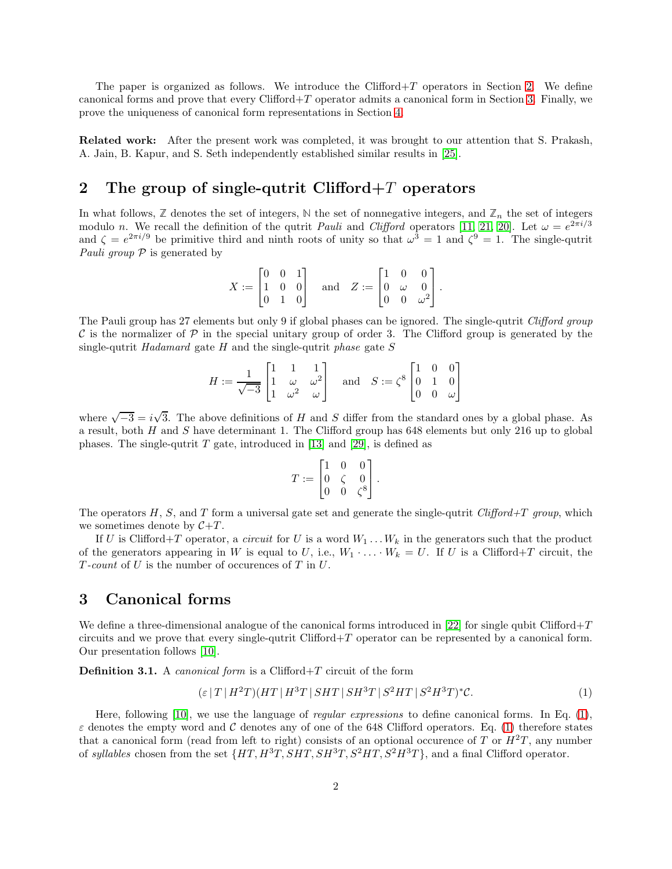The paper is organized as follows. We introduce the Clifford+T operators in Section [2.](#page-1-0) We define canonical forms and prove that every  $Clifford+T$  operator admits a canonical form in Section [3.](#page-1-1) Finally, we prove the uniqueness of canonical form representations in Section [4.](#page-3-0)

Related work: After the present work was completed, it was brought to our attention that S. Prakash, A. Jain, B. Kapur, and S. Seth independently established similar results in [\[25\]](#page-16-4).

## <span id="page-1-0"></span>2 The group of single-qutrit Clifford  $+T$  operators

In what follows,  $\mathbb Z$  denotes the set of integers,  $\mathbb N$  the set of nonnegative integers, and  $\mathbb Z_n$  the set of integers modulo n. We recall the definition of the qutrit *Pauli* and *Clifford* operators [\[11,](#page-15-16) [21,](#page-15-17) [20\]](#page-15-18). Let  $\omega = e^{2\pi i/3}$ and  $\zeta = e^{2\pi i/9}$  be primitive third and ninth roots of unity so that  $\omega^3 = 1$  and  $\zeta^9 = 1$ . The single-qutrit Pauli group  $P$  is generated by

$$
X := \begin{bmatrix} 0 & 0 & 1 \\ 1 & 0 & 0 \\ 0 & 1 & 0 \end{bmatrix} \quad \text{and} \quad Z := \begin{bmatrix} 1 & 0 & 0 \\ 0 & \omega & 0 \\ 0 & 0 & \omega^2 \end{bmatrix}.
$$

The Pauli group has 27 elements but only 9 if global phases can be ignored. The single-qutrit Clifford group C is the normalizer of  $\mathcal P$  in the special unitary group of order 3. The Clifford group is generated by the single-qutrit Hadamard gate H and the single-qutrit phase gate  $S$ 

$$
H := \frac{1}{\sqrt{-3}} \begin{bmatrix} 1 & 1 & 1 \\ 1 & \omega & \omega^2 \\ 1 & \omega^2 & \omega \end{bmatrix} \quad \text{and} \quad S := \zeta^8 \begin{bmatrix} 1 & 0 & 0 \\ 0 & 1 & 0 \\ 0 & 0 & \omega \end{bmatrix}
$$

where  $\sqrt{-3} = i\sqrt{3}$ . The above definitions of H and S differ from the standard ones by a global phase. As a result, both H and S have determinant 1. The Clifford group has 648 elements but only 216 up to global phases. The single-qutrit  $T$  gate, introduced in [\[13\]](#page-15-11) and [\[29\]](#page-16-3), is defined as

<span id="page-1-2"></span>
$$
T := \begin{bmatrix} 1 & 0 & 0 \\ 0 & \zeta & 0 \\ 0 & 0 & \zeta^8 \end{bmatrix}.
$$

The operators H, S, and T form a universal gate set and generate the single-qutrit  $Clifford+T$  group, which we sometimes denote by  $C+T$ .

If U is Clifford+T operator, a *circuit* for U is a word  $W_1 \dots W_k$  in the generators such that the product of the generators appearing in W is equal to U, i.e.,  $W_1 \cdot \ldots \cdot W_k = U$ . If U is a Clifford+T circuit, the  $T$ -count of U is the number of occurences of T in U.

### <span id="page-1-1"></span>3 Canonical forms

We define a three-dimensional analogue of the canonical forms introduced in [\[22\]](#page-15-15) for single qubit Clifford+T circuits and we prove that every single-qutrit Clifford+ $T$  operator can be represented by a canonical form. Our presentation follows [\[10\]](#page-15-13).

<span id="page-1-3"></span>**Definition 3.1.** A *canonical form* is a Clifford+T circuit of the form

$$
(\varepsilon |T|H^2T)(HT|H^3T|SHT|SH^3T|S^2HT|S^2H^3T)^*C. \tag{1}
$$

Here, following [\[10\]](#page-15-13), we use the language of regular expressions to define canonical forms. In Eq. [\(1\)](#page-1-2),  $\varepsilon$  denotes the empty word and C denotes any of one of the 648 Clifford operators. Eq. [\(1\)](#page-1-2) therefore states that a canonical form (read from left to right) consists of an optional occurence of T or  $H^2T$ , any number of syllables chosen from the set  $\{HT, H^3T, SHT, SH^3T, S^2HT, S^2H^3T\}$ , and a final Clifford operator.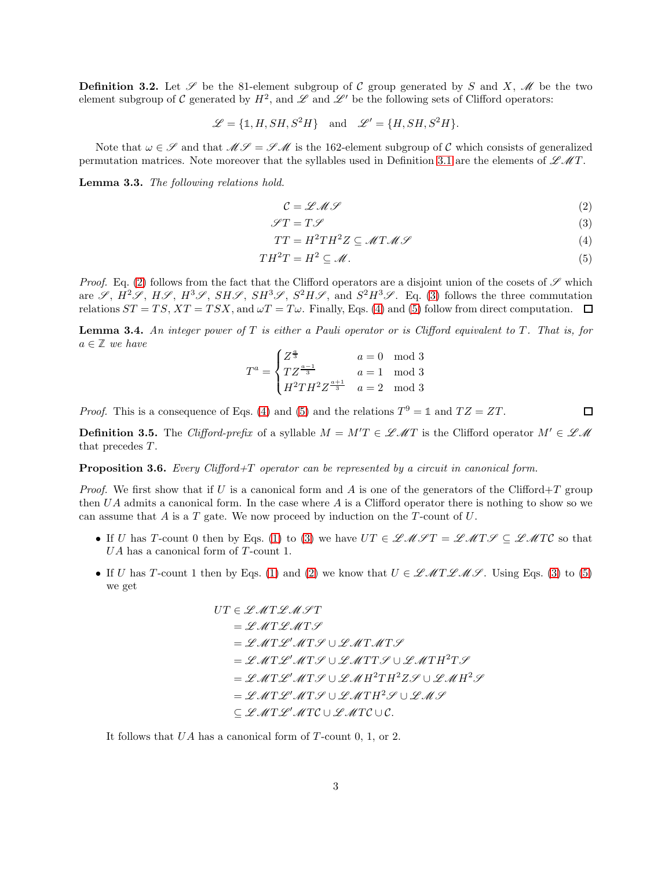**Definition 3.2.** Let  $\mathscr S$  be the 81-element subgroup of C group generated by S and X,  $\mathscr M$  be the two element subgroup of C generated by  $H^2$ , and  $\mathscr L$  and  $\mathscr L'$  be the following sets of Clifford operators:

$$
\mathcal{L} = \{1, H, SH, S^2H\} \quad \text{and} \quad \mathcal{L}' = \{H, SH, S^2H\}.
$$

Note that  $\omega \in \mathscr{S}$  and that  $\mathscr{M} = \mathscr{S} \mathscr{M}$  is the 162-element subgroup of C which consists of generalized permutation matrices. Note moreover that the syllables used in Definition [3.1](#page-1-3) are the elements of  $\mathscr{LM}T$ .

Lemma 3.3. The following relations hold.

<span id="page-2-3"></span><span id="page-2-2"></span><span id="page-2-1"></span><span id="page-2-0"></span>
$$
\mathcal{C} = \mathcal{L} \mathcal{M} \mathcal{L} \tag{2}
$$

$$
\mathcal{I}T = T\mathcal{I} \tag{3}
$$

$$
TT = H^2TH^2Z \subseteq \mathcal{M}T\mathcal{M}\mathcal{S}
$$
\n(4)

$$
TH^2T = H^2 \subseteq \mathcal{M}.
$$
\n<sup>(5)</sup>

Proof. Eq. [\(2\)](#page-2-0) follows from the fact that the Clifford operators are a disjoint union of the cosets of  $\mathscr S$  which are  $\mathscr{S}, H^2\mathscr{S}, H\mathscr{S}, H^3\mathscr{S}, SH^3\mathscr{S}, S^2H\mathscr{S}, \text{ and } S^2H^3\mathscr{S}.$  Eq. [\(3\)](#page-2-1) follows the three commutation relations  $ST = TS$ ,  $XT = TSX$ , and  $\omega T = T\omega$ . Finally, Eqs. [\(4\)](#page-2-2) and [\(5\)](#page-2-3) follow from direct computation.  $\Box$ 

<span id="page-2-4"></span>**Lemma 3.4.** An integer power of  $T$  is either a Pauli operator or is Clifford equivalent to  $T$ . That is, for  $a \in \mathbb{Z}$  we have

$$
T^{a} = \begin{cases} Z^{\frac{a}{3}} & a = 0 \mod 3\\ T Z^{\frac{a-1}{3}} & a = 1 \mod 3\\ H^{2} T H^{2} Z^{\frac{a+1}{3}} & a = 2 \mod 3 \end{cases}
$$

*Proof.* This is a consequence of Eqs. [\(4\)](#page-2-2) and [\(5\)](#page-2-3) and the relations  $T^9 = 1$  and  $TZ = ZT$ .

**Definition 3.5.** The Clifford-prefix of a syllable  $M = M'T \in \mathcal{LMT}$  is the Clifford operator  $M' \in \mathcal{LM}$ that precedes T.

<span id="page-2-5"></span>Proposition 3.6. Every Clifford+T operator can be represented by a circuit in canonical form.

*Proof.* We first show that if U is a canonical form and A is one of the generators of the Clifford+T group then  $UA$  admits a canonical form. In the case where A is a Clifford operator there is nothing to show so we can assume that  $A$  is a  $T$  gate. We now proceed by induction on the  $T$ -count of  $U$ .

- If U has T-count 0 then by Eqs. [\(1\)](#page-1-2) to [\(3\)](#page-2-1) we have  $UT \in \mathcal{LMTF} = \mathcal{LMTF} \subseteq \mathcal{LATC}$  so that  $UA$  has a canonical form of  $T\text{-}\mathrm{count}$  1.
- If U has T-count 1 then by Eqs. [\(1\)](#page-1-2) and [\(2\)](#page-2-0) we know that  $U \in \mathcal{LMTLML}$ . Using Eqs. [\(3\)](#page-2-1) to [\(5\)](#page-2-3) we get

$$
UT \in \mathcal{LMTLMTT}
$$
  
=  $\mathcal{LMTLMTS}$   
=  $\mathcal{LMTLMTS} \cup \mathcal{LMTMTS}$   
=  $\mathcal{LMTL}^{\prime}MTS \cup \mathcal{LMTTS} \cup \mathcal{LATH}^{2}TS$   
=  $\mathcal{LATL}^{\prime}MTS \cup \mathcal{LMH}^{2}TH^{2}ZS \cup \mathcal{LMH}^{2}S$   
=  $\mathcal{LATL}^{\prime}MTS \cup \mathcal{LMTH}^{2}S \cup \mathcal{LMT}^{2}S$   
=  $\mathcal{LATL}^{\prime}MTS \cup \mathcal{LATH}^{2}S \cup \mathcal{LMS}$ 

It follows that  $UA$  has a canonical form of  $T$ -count  $0, 1,$  or  $2$ .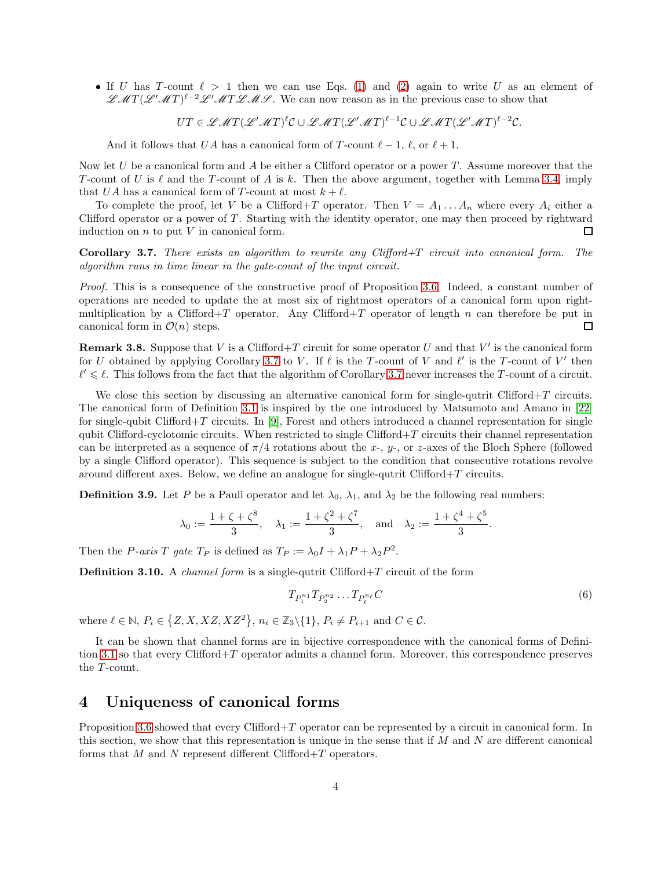• If U has T-count  $\ell > 1$  then we can use Eqs. [\(1\)](#page-1-2) and [\(2\)](#page-2-0) again to write U as an element of  $\mathscr{LMT}(\mathscr{L}^1 \mathscr{M} T)^{\ell-2} \mathscr{L}^1 \mathscr{M} T \mathscr{L} \mathscr{M} \mathscr{S}$ . We can now reason as in the previous case to show that

 $UT \in \mathscr{LMT}(\mathscr{L}^{\prime} \mathscr{M} T)^{\ell} \mathcal{C} \cup \mathscr{LMT}(\mathscr{L}^{\prime} \mathscr{M} T)^{\ell-1} \mathcal{C} \cup \mathscr{LMT}(\mathscr{L}^{\prime} \mathscr{M} T)^{\ell-2} \mathcal{C}.$ 

And it follows that UA has a canonical form of T-count  $\ell - 1$ ,  $\ell$ , or  $\ell + 1$ .

Now let  $U$  be a canonical form and  $A$  be either a Clifford operator or a power  $T$ . Assume moreover that the T-count of U is  $\ell$  and the T-count of A is k. Then the above argument, together with Lemma [3.4,](#page-2-4) imply that UA has a canonical form of T-count at most  $k + \ell$ .

To complete the proof, let V be a Clifford+T operator. Then  $V = A_1 \dots A_n$  where every  $A_i$  either a Clifford operator or a power of  $T$ . Starting with the identity operator, one may then proceed by rightward induction on  $n$  to put  $V$  in canonical form.  $\Box$ 

<span id="page-3-1"></span>**Corollary 3.7.** There exists an algorithm to rewrite any Clifford+T circuit into canonical form. The algorithm runs in time linear in the gate-count of the input circuit.

Proof. This is a consequence of the constructive proof of Proposition [3.6.](#page-2-5) Indeed, a constant number of operations are needed to update the at most six of rightmost operators of a canonical form upon rightmultiplication by a Clifford+T operator. Any Clifford+T operator of length n can therefore be put in canonical form in  $\mathcal{O}(n)$  steps.  $\Box$ 

<span id="page-3-2"></span>**Remark 3.8.** Suppose that V is a Clifford + T circuit for some operator U and that V' is the canonical form for U obtained by applying Corollary [3.7](#page-3-1) to V. If  $\ell$  is the T-count of V and  $\ell'$  is the T-count of V' then  $\ell' \leq \ell$ . This follows from the fact that the algorithm of Corollary [3.7](#page-3-1) never increases the T-count of a circuit.

We close this section by discussing an alternative canonical form for single-qutrit Clifford+T circuits. The canonical form of Definition [3.1](#page-1-3) is inspired by the one introduced by Matsumoto and Amano in [\[22\]](#page-15-15) for single-qubit Clifford+T circuits. In [\[9\]](#page-15-12), Forest and others introduced a channel representation for single qubit Clifford-cyclotomic circuits. When restricted to single Clifford $+T$  circuits their channel representation can be interpreted as a sequence of  $\pi/4$  rotations about the x-, y-, or z-axes of the Bloch Sphere (followed by a single Clifford operator). This sequence is subject to the condition that consecutive rotations revolve around different axes. Below, we define an analogue for single-qutrit  $Clifford+T$  circuits.

**Definition 3.9.** Let P be a Pauli operator and let  $\lambda_0$ ,  $\lambda_1$ , and  $\lambda_2$  be the following real numbers:

$$
\lambda_0 := \frac{1 + \zeta + \zeta^8}{3}, \quad \lambda_1 := \frac{1 + \zeta^2 + \zeta^7}{3}, \quad \text{and} \quad \lambda_2 := \frac{1 + \zeta^4 + \zeta^5}{3}.
$$

Then the *P*-axis *T* gate  $T_P$  is defined as  $T_P := \lambda_0 I + \lambda_1 P + \lambda_2 P^2$ .

**Definition 3.10.** A *channel form* is a single-qutrit Clifford+T circuit of the form

$$
T_{P_1^{n_1}} T_{P_2^{n_2}} \dots T_{P_\ell^{n_\ell}} C \tag{6}
$$

where  $\ell \in \mathbb{N}$ ,  $P_i \in \{Z, X, XZ, XZ^2\}$ ,  $n_i \in \mathbb{Z}_3 \setminus \{1\}$ ,  $P_i \neq P_{i+1}$  and  $C \in \mathcal{C}$ .

It can be shown that channel forms are in bijective correspondence with the canonical forms of Defini-tion [3.1](#page-1-3) so that every Clifford $+T$  operator admits a channel form. Moreover, this correspondence preserves the T-count.

# <span id="page-3-0"></span>4 Uniqueness of canonical forms

Proposition [3.6](#page-2-5) showed that every Clifford+T operator can be represented by a circuit in canonical form. In this section, we show that this representation is unique in the sense that if  $M$  and  $N$  are different canonical forms that  $M$  and  $N$  represent different Clifford+T operators.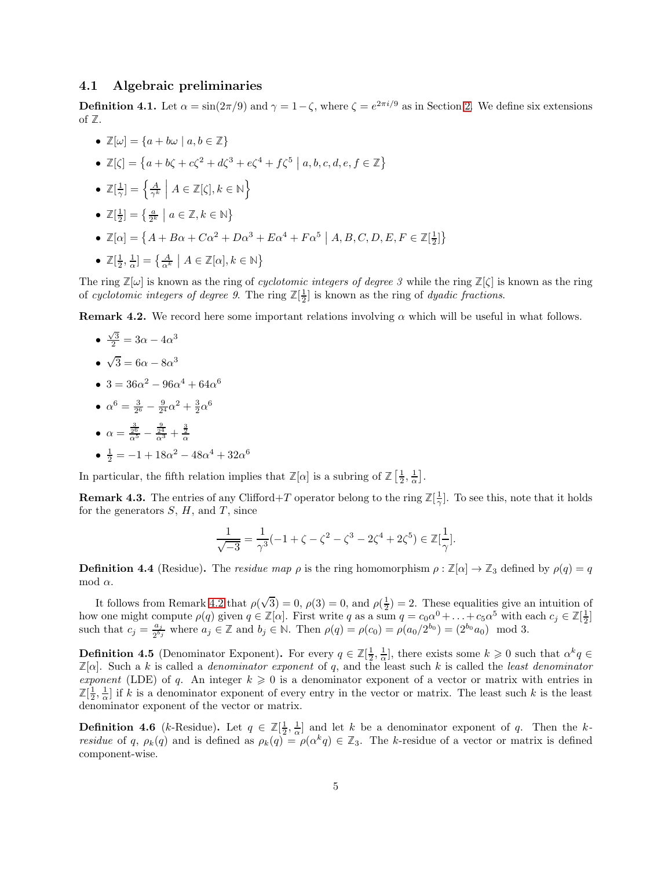#### 4.1 Algebraic preliminaries

**Definition 4.1.** Let  $\alpha = \sin(2\pi/9)$  and  $\gamma = 1 - \zeta$ , where  $\zeta = e^{2\pi i/9}$  as in Section [2.](#page-1-0) We define six extensions of **Z**.

- $\mathbb{Z}[\omega] = \{a + b\omega \mid a, b \in \mathbb{Z}\}\$ •  $\mathbb{Z}[\zeta] = \{a + b\zeta + c\zeta^2 + d\zeta^3 + e\zeta^4 + f\zeta^5 \mid a, b, c, d, e, f \in \mathbb{Z}\}\$ •  $\mathbb{Z}[\frac{1}{\gamma}] = \left\{ \frac{A}{\gamma^k} \middle| A \in \mathbb{Z}[\zeta], k \in \mathbb{N} \right\}$ •  $\mathbb{Z}[\frac{1}{2}] = \left\{\frac{a}{2^k} \mid a \in \mathbb{Z}, k \in \mathbb{N}\right\}$ •  $\mathbb{Z}[\alpha] = \{ A + B\alpha + C\alpha^2 + D\alpha^3 + E\alpha^4 + F\alpha^5 \mid A, B, C, D, E, F \in \mathbb{Z}[\frac{1}{2}]\}$
- $\mathbb{Z}[\frac{1}{2}, \frac{1}{\alpha}] = \left\{ \frac{A}{\alpha^k} \mid A \in \mathbb{Z}[\alpha], k \in \mathbb{N} \right\}$

The ring  $\mathbb{Z}[\omega]$  is known as the ring of *cyclotomic integers of degree 3* while the ring  $\mathbb{Z}[\zeta]$  is known as the ring of cyclotomic integers of degree 9. The ring  $\mathbb{Z}[\frac{1}{2}]$  is known as the ring of dyadic fractions.

<span id="page-4-0"></span>**Remark 4.2.** We record here some important relations involving  $\alpha$  which will be useful in what follows.

$$
\bullet \ \frac{\sqrt{3}}{2} = 3\alpha - 4\alpha^3
$$

$$
\bullet \ \sqrt{3} = 6\alpha - 8\alpha^3
$$

- 3 =  $36\alpha^2 96\alpha^4 + 64\alpha^6$
- $\alpha^6 = \frac{3}{2^6} \frac{9}{2^4} \alpha^2 + \frac{3}{2} \alpha^6$
- $\alpha = \frac{\frac{3}{2^6}}{\alpha^5}$   $rac{9}{2^4}$  +  $rac{3}{2}$ •  $\frac{1}{2} = -1 + 18\alpha^2 - 48\alpha^4 + 32\alpha^6$

In particular, the fifth relation implies that  $\mathbb{Z}[\alpha]$  is a subring of  $\mathbb{Z}[\frac{1}{2}, \frac{1}{\alpha}]$ .

**Remark 4.3.** The entries of any Clifford+T operator belong to the ring  $\mathbb{Z}[\frac{1}{\gamma}]$ . To see this, note that it holds for the generators  $S, H$ , and  $T$ , since

$$
\frac{1}{\sqrt{-3}} = \frac{1}{\gamma^3}(-1 + \zeta - \zeta^2 - \zeta^3 - 2\zeta^4 + 2\zeta^5) \in \mathbb{Z}[\frac{1}{\gamma}].
$$

**Definition 4.4** (Residue). The *residue map*  $\rho$  is the ring homomorphism  $\rho : \mathbb{Z}[\alpha] \to \mathbb{Z}_3$  defined by  $\rho(q) = q$ mod  $α$ .

It follows from Remark [4.2](#page-4-0) that  $\rho(\sqrt{3}) = 0$ ,  $\rho(3) = 0$ , and  $\rho(\frac{1}{2}) = 2$ . These equalities give an intuition of how one might compute  $\rho(q)$  given  $q \in \mathbb{Z}[\alpha]$ . First write q as a sum  $q = c_0 \alpha^0 + \ldots + c_5 \alpha^5$  with each  $c_j \in \mathbb{Z}[\frac{1}{2}]$ such that  $c_j = \frac{a_j}{2^{b_j}}$  $\frac{a_j}{2^{b_j}}$  where  $a_j \in \mathbb{Z}$  and  $b_j \in \mathbb{N}$ . Then  $\rho(q) = \rho(c_0) = \rho(a_0/2^{b_0}) = (2^{b_0}a_0) \mod 3$ .

**Definition 4.5** (Denominator Exponent). For every  $q \in \mathbb{Z}[\frac{1}{2}, \frac{1}{\alpha}]$ , there exists some  $k \geq 0$  such that  $\alpha^k q \in \mathbb{Z}[\frac{1}{2}, \frac{1}{2}]$  $\mathbb{Z}[\alpha]$ . Such a k is called a *denominator exponent* of q, and the least such k is called the *least denominator* exponent (LDE) of q. An integer  $k \geqslant 0$  is a denominator exponent of a vector or matrix with entries in  $\mathbb{Z}[\frac{1}{2},\frac{1}{\alpha}]$  if k is a denominator exponent of every entry in the vector or matrix. The least such k is the least denominator exponent of the vector or matrix.

<span id="page-4-1"></span>**Definition 4.6** (k-Residue). Let  $q \in \mathbb{Z}[\frac{1}{2}, \frac{1}{\alpha}]$  and let k be a denominator exponent of q. Then the k*residue* of q,  $\rho_k(q)$  and is defined as  $\rho_k(q) = \rho(\alpha^k q) \in \mathbb{Z}_3$ . The k-residue of a vector or matrix is defined component-wise.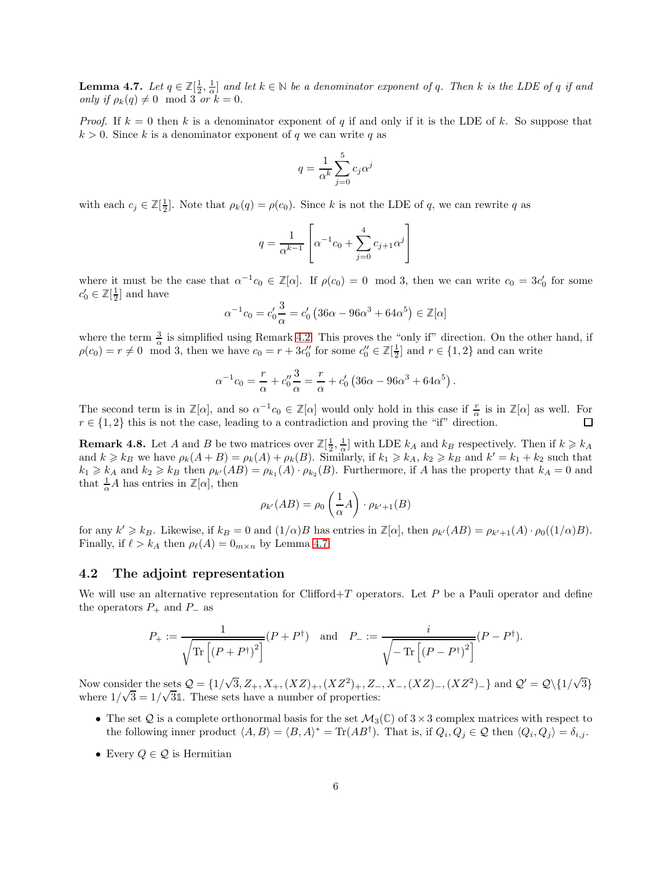**Lemma 4.7.** Let  $q \in \mathbb{Z}[\frac{1}{2},\frac{1}{\alpha}]$  and let  $k \in \mathbb{N}$  be a denominator exponent of q. Then k is the LDE of q if and only if  $\rho_k(q) \neq 0 \mod 3$  or  $k = 0$ .

*Proof.* If  $k = 0$  then k is a denominator exponent of q if and only if it is the LDE of k. So suppose that  $k > 0$ . Since k is a denominator exponent of q we can write q as

$$
q = \frac{1}{\alpha^k} \sum_{j=0}^{5} c_j \alpha^j
$$

with each  $c_j \in \mathbb{Z}[\frac{1}{2}]$ . Note that  $\rho_k(q) = \rho(c_0)$ . Since k is not the LDE of q, we can rewrite q as

$$
q = \frac{1}{\alpha^{k-1}} \left[ \alpha^{-1} c_0 + \sum_{j=0}^{4} c_{j+1} \alpha^j \right]
$$

where it must be the case that  $\alpha^{-1}c_0 \in \mathbb{Z}[\alpha]$ . If  $\rho(c_0) = 0 \mod 3$ , then we can write  $c_0 = 3c'_0$  for some  $c'_0 \in \mathbb{Z}[\frac{1}{2}]$  and have

$$
\alpha^{-1}c_0 = c'_0 \frac{3}{\alpha} = c'_0 (36\alpha - 96\alpha^3 + 64\alpha^5) \in \mathbb{Z}[\alpha]
$$

where the term  $\frac{3}{\alpha}$  is simplified using Remark [4.2.](#page-4-0) This proves the "only if" direction. On the other hand, if  $\rho(c_0) = r \neq 0 \mod 3$ , then we have  $c_0 = r + 3c''_0$  for some  $c''_0 \in \mathbb{Z}[\frac{1}{2}]$  and  $r \in \{1, 2\}$  and can write

$$
\alpha^{-1}c_0 = \frac{r}{\alpha} + c_0''\frac{3}{\alpha} = \frac{r}{\alpha} + c_0' (36\alpha - 96\alpha^3 + 64\alpha^5).
$$

The second term is in  $\mathbb{Z}[\alpha]$ , and so  $\alpha^{-1}c_0 \in \mathbb{Z}[\alpha]$  would only hold in this case if  $\frac{r}{\alpha}$  is in  $\mathbb{Z}[\alpha]$  as well. For  $r \in \{1,2\}$  this is not the case, leading to a contradiction and proving the "if" direction.  $\Box$ 

<span id="page-5-0"></span>**Remark 4.8.** Let A and B be two matrices over  $\mathbb{Z}[\frac{1}{2}, \frac{1}{\alpha}]$  with LDE  $k_A$  and  $k_B$  respectively. Then if  $k \geq k_A$ and  $k \geq k_B$  we have  $\rho_k(A+B) = \rho_k(A) + \rho_k(B)$ . Similarly, if  $k_1 \geq k_A$ ,  $k_2 \geq k_B$  and  $k' = k_1 + k_2$  such that  $k_1 \geq k_A$  and  $k_2 \geq k_B$  then  $\rho_{k'}(AB) = \rho_{k_1}(A) \cdot \rho_{k_2}(B)$ . Furthermore, if A has the property that  $k_A = 0$  and that  $\frac{1}{\alpha}A$  has entries in  $\mathbb{Z}[\alpha]$ , then

$$
\rho_{k'}(AB) = \rho_0 \left(\frac{1}{\alpha}A\right) \cdot \rho_{k'+1}(B)
$$

for any  $k' \geq k_B$ . Likewise, if  $k_B = 0$  and  $(1/\alpha)B$  has entries in  $\mathbb{Z}[\alpha]$ , then  $\rho_{k'}(AB) = \rho_{k'+1}(A) \cdot \rho_0((1/\alpha)B)$ . Finally, if  $\ell > k_A$  then  $\rho_{\ell}(A) = 0_{m \times n}$  by Lemma [4.7.](#page-4-1)

#### 4.2 The adjoint representation

We will use an alternative representation for Clifford+T operators. Let P be a Pauli operator and define the operators  $P_+$  and  $P_-$  as

$$
P_+ := \frac{1}{\sqrt{\text{Tr}\left[\left(P + P^{\dagger}\right)^2\right]}} \left(P + P^{\dagger}\right) \quad \text{and} \quad P_- := \frac{i}{\sqrt{-\text{Tr}\left[\left(P - P^{\dagger}\right)^2\right]}} \left(P - P^{\dagger}\right).
$$

Now consider the sets  $Q = \{1/\sqrt{3}, Z_+, X_+, (XZ)_+, (XZ^2)_+, Z_-, X_-, (XZ)_-, (XZ^2)_-\}$  and  $Q' = Q\{1/\sqrt{3}\}$ where  $1/\sqrt{3} = 1/\sqrt{31}$ . These sets have a number of properties:

- The set Q is a complete orthonormal basis for the set  $\mathcal{M}_3(\mathbb{C})$  of  $3 \times 3$  complex matrices with respect to the following inner product  $\langle A, B \rangle = \langle B, A \rangle^* = \text{Tr}(AB^{\dagger})$ . That is, if  $Q_i, Q_j \in \mathcal{Q}$  then  $\langle Q_i, Q_j \rangle = \delta_{i,j}$ .
- Every  $Q \in \mathcal{Q}$  is Hermitian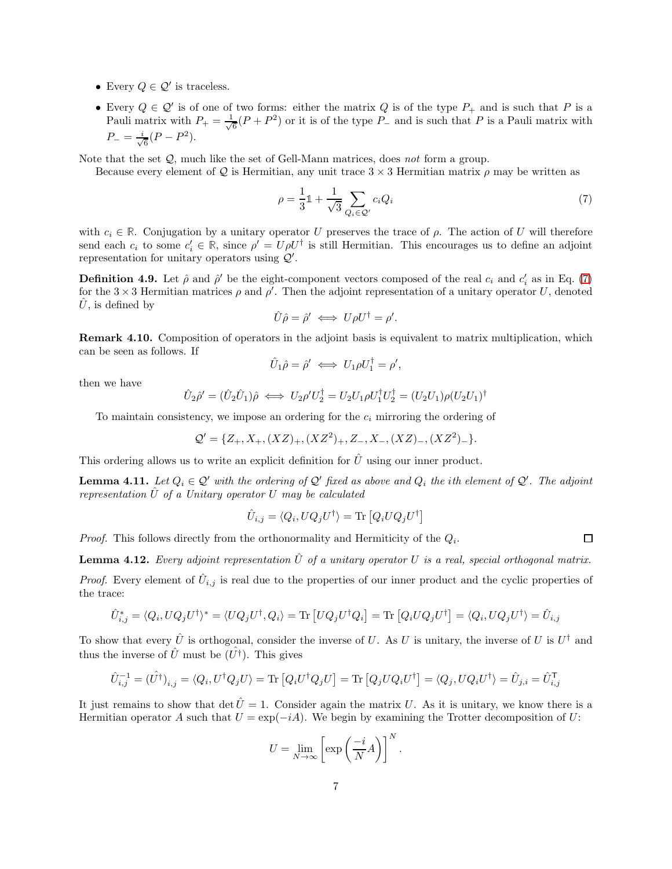- Every  $Q \in \mathcal{Q}'$  is traceless.
- Every  $Q \in \mathcal{Q}'$  is of one of two forms: either the matrix Q is of the type  $P_+$  and is such that P is a Pauli matrix with  $P_+ = \frac{1}{\sqrt{2}}$  $\frac{1}{6}(P+P^2)$  or it is of the type  $P_-\$  and is such that P is a Pauli matrix with  $P_{-}=\frac{i}{\sqrt{2}}$  $\frac{1}{6}(P-P^2).$

Note that the set  $Q$ , much like the set of Gell-Mann matrices, does not form a group.

Because every element of Q is Hermitian, any unit trace  $3 \times 3$  Hermitian matrix  $\rho$  may be written as

<span id="page-6-0"></span>
$$
\rho = \frac{1}{3}\mathbb{1} + \frac{1}{\sqrt{3}} \sum_{Q_i \in \mathcal{Q}'} c_i Q_i \tag{7}
$$

with  $c_i \in \mathbb{R}$ . Conjugation by a unitary operator U preserves the trace of  $\rho$ . The action of U will therefore send each  $c_i$  to some  $c'_i \in \mathbb{R}$ , since  $\rho' = U \rho U^{\dagger}$  is still Hermitian. This encourages us to define an adjoint representation for unitary operators using  $\mathcal{Q}'$ .

**Definition 4.9.** Let  $\hat{\rho}$  and  $\hat{\rho}'$  be the eight-component vectors composed of the real  $c_i$  and  $c'_i$  as in Eq. [\(7\)](#page-6-0) for the  $3 \times 3$  Hermitian matrices  $\rho$  and  $\rho'$ . Then the adjoint representation of a unitary operator U, denoted  $U$ , is defined by

$$
\hat{U}\hat{\rho} = \hat{\rho}' \iff U\rho U^{\dagger} = \rho'.
$$

Remark 4.10. Composition of operators in the adjoint basis is equivalent to matrix multiplication, which can be seen as follows. If

$$
\hat{U}_1 \hat{\rho} = \hat{\rho}' \iff U_1 \rho U_1^{\dagger} = \rho',
$$

then we have

$$
\hat{U}_2 \hat{\rho}' = (\hat{U}_2 \hat{U}_1) \hat{\rho} \iff U_2 \rho' U_2^{\dagger} = U_2 U_1 \rho U_1^{\dagger} U_2^{\dagger} = (U_2 U_1) \rho (U_2 U_1)^{\dagger}
$$

To maintain consistency, we impose an ordering for the  $c_i$  mirroring the ordering of

$$
\mathcal{Q}' = \{Z_+, X_+, (XZ)_+, (XZ^2)_+, Z_-, X_-, (XZ)_-, (XZ^2)_-\}.
$$

This ordering allows us to write an explicit definition for  $\hat{U}$  using our inner product.

**Lemma 4.11.** Let  $Q_i \in \mathcal{Q}'$  with the ordering of  $\mathcal{Q}'$  fixed as above and  $Q_i$  the ith element of  $\mathcal{Q}'$ . The adjoint representation  $\hat{U}$  of a Unitary operator U may be calculated

$$
\hat{U}_{i,j} = \langle Q_i, UQ_j U^{\dagger} \rangle = \text{Tr} [Q_i U Q_j U^{\dagger}]
$$

*Proof.* This follows directly from the orthonormality and Hermiticity of the  $Q_i$ .

**Lemma 4.12.** Every adjoint representation  $\hat{U}$  of a unitary operator U is a real, special orthogonal matrix. *Proof.* Every element of  $\hat{U}_{i,j}$  is real due to the properties of our inner product and the cyclic properties of the trace:

$$
\hat{U}_{i,j}^* = \langle Q_i, UQ_j U^{\dagger} \rangle^* = \langle UQ_j U^{\dagger}, Q_i \rangle = \text{Tr} [UQ_j U^{\dagger} Q_i] = \text{Tr} [Q_i UQ_j U^{\dagger}] = \langle Q_i, UQ_j U^{\dagger} \rangle = \hat{U}_{i,j}
$$

To show that every  $\hat{U}$  is orthogonal, consider the inverse of U. As U is unitary, the inverse of U is  $U^{\dagger}$  and thus the inverse of  $\hat{U}$  must be  $(\hat{U^{\dagger}})$ . This gives

$$
\hat{U}_{i,j}^{-1} = (\hat{U^{\dagger}})_{i,j} = \langle Q_i, U^{\dagger} Q_j U \rangle = \text{Tr} [Q_i U^{\dagger} Q_j U] = \text{Tr} [Q_j U Q_i U^{\dagger}] = \langle Q_j, U Q_i U^{\dagger} \rangle = \hat{U}_{j,i} = \hat{U}_{i,j}^{\mathsf{T}}
$$

It just remains to show that det  $\hat{U} = 1$ . Consider again the matrix U. As it is unitary, we know there is a Hermitian operator A such that  $U = \exp(-iA)$ . We begin by examining the Trotter decomposition of U:

$$
U = \lim_{N \to \infty} \left[ \exp\left(\frac{-i}{N}A\right) \right]^N.
$$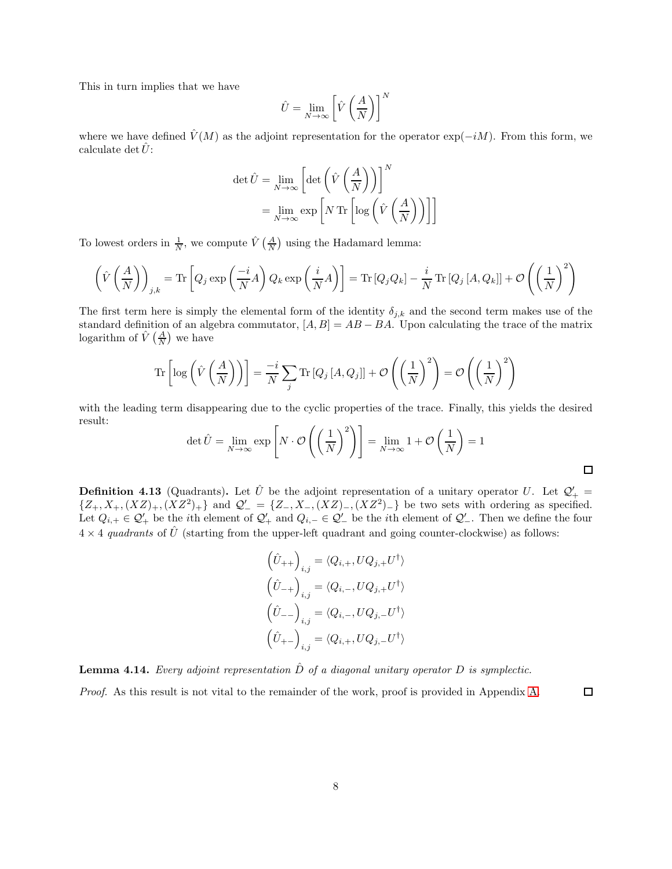This in turn implies that we have

$$
\hat{U} = \lim_{N \to \infty} \left[ \hat{V} \left( \frac{A}{N} \right) \right]^N
$$

where we have defined  $\dot{V}(M)$  as the adjoint representation for the operator exp( $-iM$ ). From this form, we calculate det  $\hat{U}$ :

$$
\det \hat{U} = \lim_{N \to \infty} \left[ \det \left( \hat{V} \left( \frac{A}{N} \right) \right) \right]^N
$$

$$
= \lim_{N \to \infty} \exp \left[ N \operatorname{Tr} \left[ \log \left( \hat{V} \left( \frac{A}{N} \right) \right) \right] \right]
$$

To lowest orders in  $\frac{1}{N}$ , we compute  $\hat{V}(\frac{A}{N})$  using the Hadamard lemma:

$$
\left(\hat{V}\left(\frac{A}{N}\right)\right)_{j,k} = \text{Tr}\left[Q_j \exp\left(\frac{-i}{N}A\right)Q_k \exp\left(\frac{i}{N}A\right)\right] = \text{Tr}\left[Q_j Q_k\right] - \frac{i}{N} \text{Tr}\left[Q_j \left[A, Q_k\right]\right] + \mathcal{O}\left(\left(\frac{1}{N}\right)^2\right)
$$

The first term here is simply the elemental form of the identity  $\delta_{j,k}$  and the second term makes use of the standard definition of an algebra commutator,  $[A, B] = AB - BA$ . Upon calculating the trace of the matrix logarithm of  $\hat{V}\left(\frac{A}{N}\right)$  we have

$$
\operatorname{Tr}\left[\log\left(\hat{V}\left(\frac{A}{N}\right)\right)\right] = \frac{-i}{N} \sum_{j} \operatorname{Tr}\left[Q_j\left[A, Q_j\right]\right] + \mathcal{O}\left(\left(\frac{1}{N}\right)^2\right) = \mathcal{O}\left(\left(\frac{1}{N}\right)^2\right)
$$

with the leading term disappearing due to the cyclic properties of the trace. Finally, this yields the desired result:

$$
\det \hat{U} = \lim_{N \to \infty} \exp\left[N \cdot \mathcal{O}\left(\left(\frac{1}{N}\right)^2\right)\right] = \lim_{N \to \infty} 1 + \mathcal{O}\left(\frac{1}{N}\right) = 1
$$

**Definition 4.13** (Quadrants). Let  $\hat{U}$  be the adjoint representation of a unitary operator U. Let  $\mathcal{Q}'_+$  =  $\{Z_+, X_+, (XZ)_+, (XZ^2)_+\}$  and  $\mathcal{Q}'_- = \{Z_-, X_-, (XZ)_-, (XZ^2)_-\}$  be two sets with ordering as specified. Let  $Q_{i,+} \in \mathcal{Q}'_+$  be the *i*th element of  $\mathcal{Q}'_+$  and  $Q_{i,-} \in \mathcal{Q}'_-$  be the *i*th element of  $\mathcal{Q}'_-$ . Then we define the four  $4 \times 4$  quadrants of  $\hat{U}$  (starting from the upper-left quadrant and going counter-clockwise) as follows:

$$
\begin{aligned}\n\left(\hat{U}_{++}\right)_{i,j} &= \langle Q_{i,+}, UQ_{j,+}U^{\dagger} \rangle \\
\left(\hat{U}_{-+}\right)_{i,j} &= \langle Q_{i,-}, UQ_{j,+}U^{\dagger} \rangle \\
\left(\hat{U}_{--}\right)_{i,j} &= \langle Q_{i,-}, UQ_{j,-}U^{\dagger} \rangle \\
\left(\hat{U}_{+-}\right)_{i,j} &= \langle Q_{i,+}, UQ_{j,-}U^{\dagger} \rangle\n\end{aligned}
$$

**Lemma 4.14.** Every adjoint representation  $\hat{D}$  of a diagonal unitary operator  $D$  is symplectic. Proof. As this result is not vital to the remainder of the work, proof is provided in Appendix [A.](#page-17-0)

 $\Box$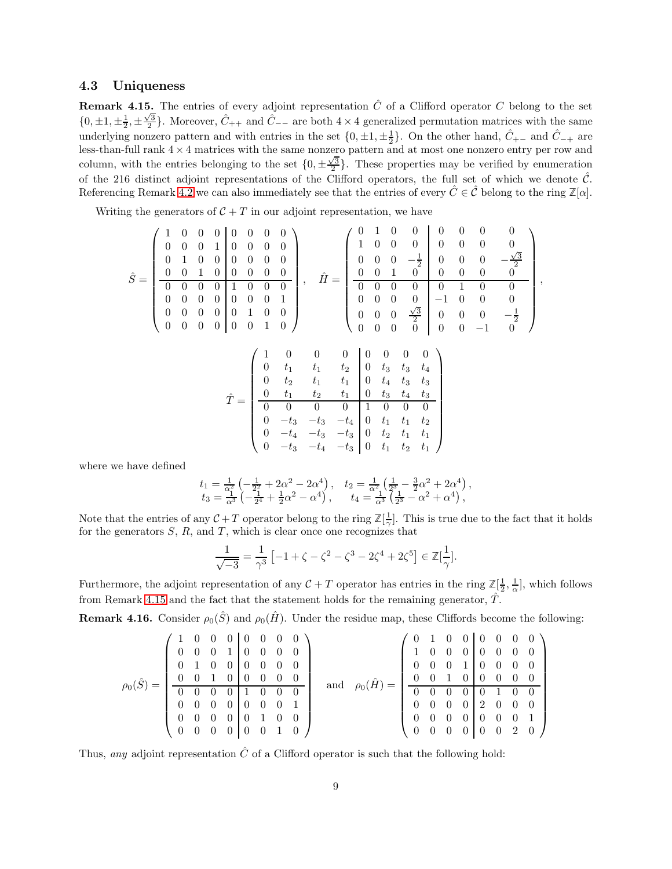### <span id="page-8-0"></span>4.3 Uniqueness

**Remark 4.15.** The entries of every adjoint representation  $\hat{C}$  of a Clifford operator C belong to the set  $\{0,\pm 1,\pm \frac{1}{2},\pm \frac{\sqrt{3}}{2}\}.$  Moreover,  $\hat{C}_{++}$  and  $\tilde{C}_{--}$  are both  $4\times 4$  generalized permutation matrices with the same underlying nonzero pattern and with entries in the set  $\{0, \pm 1, \pm \frac{1}{2}\}$ . On the other hand,  $\hat{C}_{+-}$  and  $\hat{C}_{-+}$  are less-than-full rank  $4 \times 4$  matrices with the same nonzero pattern and at most one nonzero entry per row and column, with the entries belonging to the set  $\{0, \pm \frac{\sqrt{3}}{2}\}$ . These properties may be verified by enumeration of the 216 distinct adjoint representations of the Clifford operators, the full set of which we denote  $\hat{\mathcal{C}}$ . Referencing Remark [4.2](#page-4-0) we can also immediately see that the entries of every  $\hat{C} \in \hat{\mathcal{C}}$  belong to the ring  $\mathbb{Z}[\alpha]$ .

Writing the generators of  $C + T$  in our adjoint representation, we have

$$
\hat{S} = \left(\begin{array}{cccccc} 1 & 0 & 0 & 0 & 0 & 0 & 0 \\ 0 & 0 & 0 & 1 & 0 & 0 & 0 \\ 0 & 1 & 0 & 0 & 0 & 0 & 0 \\ 0 & 0 & 1 & 0 & 0 & 0 & 0 \\ 0 & 0 & 0 & 0 & 1 & 0 & 0 \\ 0 & 0 & 0 & 0 & 0 & 0 & 1 \\ 0 & 0 & 0 & 0 & 0 & 0 & 1 \\ 0 & 0 & 0 & 0 & 0 & 0 & 1 \\ 0 & 0 & 0 & 0 & 0 & 0 & 1 \\ 0 & 0 & 0 & 0 & 0 & 1 & 0 \end{array}\right), \quad \hat{H} = \left(\begin{array}{cccccc} 0 & 1 & 0 & 0 & 0 & 0 & 0 & 0 \\ 1 & 0 & 0 & 0 & 0 & 0 & 0 & 0 \\ 0 & 0 & 0 & -\frac{1}{2} & 0 & 0 & 0 & -\frac{\sqrt{3}}{2} \\ 0 & 0 & 0 & 0 & 0 & 1 & 0 & 0 \\ 0 & 0 & 0 & 0 & 0 & -1 & 0 & 0 \\ 0 & 0 & 0 & \frac{\sqrt{3}}{2} & 0 & 0 & 0 & -\frac{1}{2} \\ 0 & 0 & 0 & 0 & -1 & 0 & 0 \end{array}\right),
$$

$$
\hat{T} = \begin{pmatrix}\n1 & 0 & 0 & 0 & 0 & 0 & 0 & 0 \\
0 & t_1 & t_1 & t_2 & 0 & t_3 & t_3 & t_4 \\
0 & t_2 & t_1 & t_1 & 0 & t_4 & t_3 & t_3 \\
\hline\n0 & 0 & t_1 & t_2 & t_1 & 0 & t_3 & t_4 & t_3 \\
\hline\n0 & 0 & 0 & 0 & 1 & 0 & 0 & 0 \\
0 & -t_3 & -t_3 & -t_4 & 0 & t_1 & t_1 & t_2 \\
0 & -t_3 & -t_4 & -t_3 & 0 & t_2 & t_1 & t_1 \\
0 & -t_3 & -t_4 & -t_3 & 0 & t_1 & t_2 & t_1\n\end{pmatrix}
$$

where we have defined

$$
\begin{array}{ll} t_1=\frac{1}{\alpha_1^2}\left(-\frac{1}{2^2}+2\alpha^2-2\alpha^4\right), & t_2=\frac{1}{\alpha^2}\left(\frac{1}{2^3}-\frac{3}{2}\alpha^2+2\alpha^4\right),\\ t_3=\frac{1}{\alpha^3}\left(-\frac{1}{2^4}+\frac{1}{2}\alpha^2-\alpha^4\right), & t_4=\frac{1}{\alpha^3}\left(\frac{1}{2^3}-\alpha^2+\alpha^4\right), \end{array}
$$

Note that the entries of any  $C + T$  operator belong to the ring  $\mathbb{Z}[\frac{1}{\gamma}]$ . This is true due to the fact that it holds for the generators  $S, R$ , and  $T$ , which is clear once one recognizes that

$$
\frac{1}{\sqrt{-3}} = \frac{1}{\gamma^3} \left[ -1 + \zeta - \zeta^2 - \zeta^3 - 2\zeta^4 + 2\zeta^5 \right] \in \mathbb{Z}[\frac{1}{\gamma}].
$$

Furthermore, the adjoint representation of any  $C + T$  operator has entries in the ring  $\mathbb{Z}[\frac{1}{2}, \frac{1}{\alpha}]$ , which follows from Remark [4.15](#page-8-0) and the fact that the statement holds for the remaining generator,  $\hat{T}$ .

<span id="page-8-1"></span>**Remark 4.16.** Consider  $\rho_0(\hat{S})$  and  $\rho_0(\hat{H})$ . Under the residue map, these Cliffords become the following:

$$
\rho_0(\hat{S})=\left(\begin{array}{cccc|cccc|cccc} 1 & 0 & 0 & 0 & 0 & 0 & 0 & 0 \\ 0 & 0 & 0 & 1 & 0 & 0 & 0 & 0 \\ 0 & 1 & 0 & 0 & 0 & 0 & 0 & 0 \\ 0 & 0 & 1 & 0 & 0 & 0 & 0 & 0 \\ 0 & 0 & 0 & 0 & 1 & 0 & 0 & 0 \\ 0 & 0 & 0 & 0 & 0 & 0 & 1 & 0 \\ 0 & 0 & 0 & 0 & 0 & 0 & 1 & 0 \end{array}\right) \quad \text{and} \quad \rho_0(\hat{H})=\left(\begin{array}{cccc|cccc} 0 & 1 & 0 & 0 & 0 & 0 & 0 & 0 \\ 1 & 0 & 0 & 0 & 0 & 0 & 0 & 0 \\ 0 & 0 & 0 & 1 & 0 & 0 & 0 & 0 \\ 0 & 0 & 1 & 0 & 0 & 0 & 0 & 0 \\ 0 & 0 & 0 & 0 & 0 & 1 & 0 & 0 \\ 0 & 0 & 0 & 0 & 0 & 0 & 0 & 1 \\ 0 & 0 & 0 & 0 & 0 & 0 & 0 & 1 \end{array}\right)
$$

Thus, any adjoint representation  $\hat{C}$  of a Clifford operator is such that the following hold: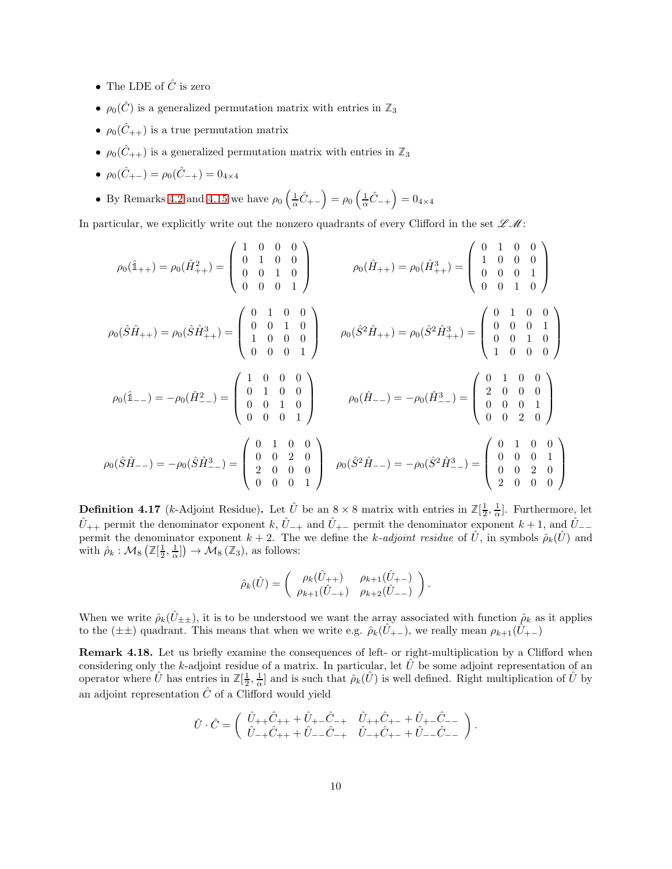- The LDE of  $\hat{C}$  is zero
- $\rho_0(\hat{C})$  is a generalized permutation matrix with entries in  $\mathbb{Z}_3$
- $\rho_0(\hat{C}_{++})$  is a true permutation matrix
- $\rho_0(\hat{C}_{++})$  is a generalized permutation matrix with entries in  $\mathbb{Z}_3$
- $\rho_0(\hat{C}_{+-}) = \rho_0(\hat{C}_{-+}) = 0_{4 \times 4}$
- By Remarks [4.2](#page-4-0) and [4.15](#page-8-0) we have  $\rho_0\left(\frac{1}{\alpha}\hat{C}_{+-}\right) = \rho_0\left(\frac{1}{\alpha}\hat{C}_{-+}\right) = 0_{4\times4}$

In particular, we explicitly write out the nonzero quadrants of every Clifford in the set  $\mathscr{L}\mathscr{M}$ :

$$
\rho_0(\hat{1}_{++}) = \rho_0(\hat{H}_{++}^2) = \begin{pmatrix} 1 & 0 & 0 & 0 \\ 0 & 1 & 0 & 0 \\ 0 & 0 & 1 & 0 \\ 0 & 0 & 0 & 1 \end{pmatrix} \qquad \rho_0(\hat{H}_{++}) = \rho_0(\hat{H}_{++}^3) = \begin{pmatrix} 0 & 1 & 0 & 0 \\ 1 & 0 & 0 & 0 \\ 0 & 0 & 0 & 1 \\ 0 & 0 & 1 & 0 \end{pmatrix}
$$

$$
\rho_0(\hat{S}\hat{H}_{++}) = \rho_0(\hat{S}\hat{H}_{++}^3) = \begin{pmatrix} 0 & 1 & 0 & 0 \\ 0 & 0 & 1 & 0 \\ 1 & 0 & 0 & 0 \\ 0 & 0 & 0 & 1 \end{pmatrix} \qquad \rho_0(\hat{S}^2\hat{H}_{++}) = \rho_0(\hat{S}^2\hat{H}_{++}^3) = \begin{pmatrix} 0 & 1 & 0 & 0 \\ 0 & 0 & 0 & 1 \\ 0 & 0 & 1 & 0 \\ 1 & 0 & 0 & 0 \end{pmatrix}
$$

$$
\rho_0(\hat{1}_{--}) = -\rho_0(\hat{H}_{--}^2) = \begin{pmatrix} 1 & 0 & 0 & 0 \\ 0 & 1 & 0 & 0 \\ 0 & 0 & 1 & 0 \\ 0 & 0 & 0 & 1 \end{pmatrix} \qquad \rho_0(\hat{H}_{--}) = -\rho_0(\hat{H}_{--}^3) = \begin{pmatrix} 0 & 1 & 0 & 0 \\ 2 & 0 & 0 & 0 \\ 0 & 0 & 0 & 1 \\ 0 & 0 & 2 & 0 \\ 0 & 0 & 2 & 0 \end{pmatrix}
$$

$$
\rho_0(\hat{S}\hat{H}_{--}) = -\rho_0(\hat{S}^2\hat{H}_{--}^3) = \begin{pmatrix} 0 & 1 & 0 & 0 \\ 0 & 0 & 0 & 1 \\ 0 & 0 & 2 & 0 \\ 2 & 0 & 0 & 0 \end{pmatrix}
$$

**Definition 4.17** (*k*-Adjoint Residue). Let  $\hat{U}$  be an  $8 \times 8$  matrix with entries in  $\mathbb{Z}[\frac{1}{2},\frac{1}{\alpha}]$ . Furthermore, let  $\hat{U}_{++}$  permit the denominator exponent k,  $\hat{U}_{-+}$  and  $\hat{U}_{+-}$  permit the denominator exponent k + 1, and  $\hat{U}_{--}$ permit the denominator exponent  $k + 2$ . The we define the k-adjoint residue of  $\hat{U}$ , in symbols  $\hat{\rho}_k(\hat{U})$  and with  $\rho_k : \mathcal{M}_8\left(\mathbb{Z}[\frac{1}{2}, \frac{1}{\alpha}]\right) \to \mathcal{M}_8\left(\mathbb{Z}_3\right)$ , as follows:

$$
\hat{\rho}_k(\hat{U}) = \begin{pmatrix} \rho_k(\hat{U}_{++}) & \rho_{k+1}(\hat{U}_{+-}) \\ \rho_{k+1}(\hat{U}_{-+}) & \rho_{k+2}(\hat{U}_{--}) \end{pmatrix}.
$$

When we write  $\hat{\rho}_k(\hat{U}_{\pm\pm})$ , it is to be understood we want the array associated with function  $\hat{\rho}_k$  as it applies to the ( $\pm\pm$ ) quadrant. This means that when we write e.g.  $\hat{\rho}_k(U_{+-})$ , we really mean  $\rho_{k+1}(U_{+-})$ 

<span id="page-9-0"></span>Remark 4.18. Let us briefly examine the consequences of left- or right-multiplication by a Clifford when considering only the k-adjoint residue of a matrix. In particular, let  $\hat{U}$  be some adjoint representation of an operator where  $\hat{U}$  has entries in  $\mathbb{Z}[\frac{1}{2},\frac{1}{\alpha}]$  and is such that  $\hat{\rho}_k(\hat{U})$  is well defined. Right multiplication of  $\hat{U}$  by an adjoint representation  $\hat{C}$  of a Clifford would yield

$$
\hat{U} \cdot \hat{C} = \begin{pmatrix} \hat{U}_{++} \hat{C}_{++} + \hat{U}_{+-} \hat{C}_{-+} & \hat{U}_{++} \hat{C}_{+-} + \hat{U}_{+-} \hat{C}_{--} \\ \hat{U}_{-+} \hat{C}_{++} + \hat{U}_{--} \hat{C}_{-+} & \hat{U}_{-+} \hat{C}_{+-} + \hat{U}_{--} \hat{C}_{--} \end{pmatrix}.
$$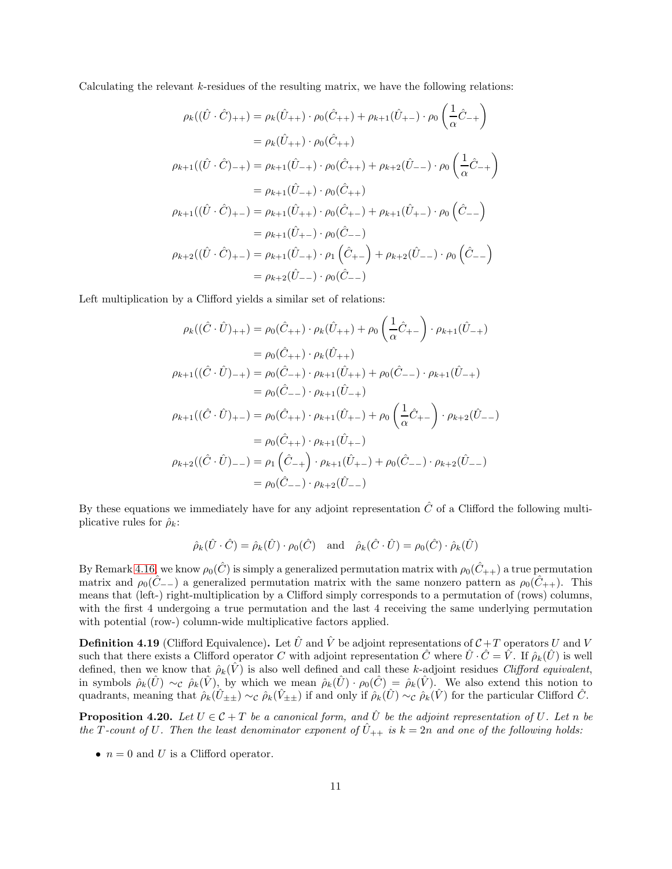Calculating the relevant  $k$ -residues of the resulting matrix, we have the following relations:

$$
\rho_k((\hat{U} \cdot \hat{C})_{++}) = \rho_k(\hat{U}_{++}) \cdot \rho_0(\hat{C}_{++}) + \rho_{k+1}(\hat{U}_{+-}) \cdot \rho_0\left(\frac{1}{\alpha}\hat{C}_{-+}\right)
$$
  
\n
$$
= \rho_k(\hat{U}_{++}) \cdot \rho_0(\hat{C}_{++})
$$
  
\n
$$
\rho_{k+1}((\hat{U} \cdot \hat{C})_{-+}) = \rho_{k+1}(\hat{U}_{-+}) \cdot \rho_0(\hat{C}_{++}) + \rho_{k+2}(\hat{U}_{--}) \cdot \rho_0\left(\frac{1}{\alpha}\hat{C}_{-+}\right)
$$
  
\n
$$
= \rho_{k+1}(\hat{U}_{-+}) \cdot \rho_0(\hat{C}_{++})
$$
  
\n
$$
\rho_{k+1}((\hat{U} \cdot \hat{C})_{+-}) = \rho_{k+1}(\hat{U}_{++}) \cdot \rho_0(\hat{C}_{+-}) + \rho_{k+1}(\hat{U}_{+-}) \cdot \rho_0\left(\hat{C}_{--}\right)
$$
  
\n
$$
= \rho_{k+1}(\hat{U}_{+-}) \cdot \rho_0(\hat{C}_{--})
$$
  
\n
$$
\rho_{k+2}((\hat{U} \cdot \hat{C})_{+-}) = \rho_{k+1}(\hat{U}_{-+}) \cdot \rho_1\left(\hat{C}_{+-}\right) + \rho_{k+2}(\hat{U}_{--}) \cdot \rho_0\left(\hat{C}_{--}\right)
$$
  
\n
$$
= \rho_{k+2}(\hat{U}_{--}) \cdot \rho_0(\hat{C}_{--})
$$

Left multiplication by a Clifford yields a similar set of relations:

$$
\rho_k((\hat{C} \cdot \hat{U})_{++}) = \rho_0(\hat{C}_{++}) \cdot \rho_k(\hat{U}_{++}) + \rho_0\left(\frac{1}{\alpha}\hat{C}_{+-}\right) \cdot \rho_{k+1}(\hat{U}_{-+})
$$
  
\n
$$
= \rho_0(\hat{C}_{++}) \cdot \rho_k(\hat{U}_{++})
$$
  
\n
$$
\rho_{k+1}((\hat{C} \cdot \hat{U})_{-+}) = \rho_0(\hat{C}_{-+}) \cdot \rho_{k+1}(\hat{U}_{++}) + \rho_0(\hat{C}_{--}) \cdot \rho_{k+1}(\hat{U}_{-+})
$$
  
\n
$$
= \rho_0(\hat{C}_{--}) \cdot \rho_{k+1}(\hat{U}_{-+})
$$
  
\n
$$
\rho_{k+1}((\hat{C} \cdot \hat{U})_{+-}) = \rho_0(\hat{C}_{++}) \cdot \rho_{k+1}(\hat{U}_{+-}) + \rho_0\left(\frac{1}{\alpha}\hat{C}_{+-}\right) \cdot \rho_{k+2}(\hat{U}_{--})
$$
  
\n
$$
= \rho_0(\hat{C}_{++}) \cdot \rho_{k+1}(\hat{U}_{+-})
$$
  
\n
$$
\rho_{k+2}((\hat{C} \cdot \hat{U})_{--}) = \rho_1(\hat{C}_{-+}) \cdot \rho_{k+1}(\hat{U}_{+-}) + \rho_0(\hat{C}_{--}) \cdot \rho_{k+2}(\hat{U}_{--})
$$
  
\n
$$
= \rho_0(\hat{C}_{--}) \cdot \rho_{k+2}(\hat{U}_{--})
$$

By these equations we immediately have for any adjoint representation  $\hat{C}$  of a Clifford the following multiplicative rules for  $\hat{\rho}_k$ :

$$
\hat{\rho}_k(\hat{U} \cdot \hat{C}) = \hat{\rho}_k(\hat{U}) \cdot \rho_0(\hat{C})
$$
 and  $\hat{\rho}_k(\hat{C} \cdot \hat{U}) = \rho_0(\hat{C}) \cdot \hat{\rho}_k(\hat{U})$ 

By Remark [4.16,](#page-8-1) we know  $\rho_0(\hat{C})$  is simply a generalized permutation matrix with  $\rho_0(\hat{C}_{++})$  a true permutation matrix and  $\rho_0(\tilde{C}_{--})$  a generalized permutation matrix with the same nonzero pattern as  $\rho_0(\tilde{C}_{++})$ . This means that (left-) right-multiplication by a Clifford simply corresponds to a permutation of (rows) columns, with the first 4 undergoing a true permutation and the last 4 receiving the same underlying permutation with potential (row-) column-wide multiplicative factors applied.

**Definition 4.19** (Clifford Equivalence). Let  $\hat{U}$  and  $\hat{V}$  be adjoint representations of  $\mathcal{C}+T$  operators U and V such that there exists a Clifford operator C with adjoint representation  $\hat{C}$  where  $\hat{U} \cdot \hat{C} = \hat{V}$ . If  $\hat{\rho}_k(\hat{U})$  is well defined, then we know that  $\hat{\rho}_k(\hat{V})$  is also well defined and call these k-adjoint residues *Clifford equivalent*, in symbols  $\rho_k(\hat{U}) \sim_c \rho_k(\hat{V})$ , by which we mean  $\rho_k(\hat{U}) \cdot \rho_0(\hat{C}) = \rho_k(\hat{V})$ . We also extend this notion to quadrants, meaning that  $\hat{\rho}_k(\hat{U}_{\pm\pm}) \sim_c \hat{\rho}_k(\hat{V}_{\pm\pm})$  if and only if  $\hat{\rho}_k(\hat{U}) \sim_c \hat{\rho}_k(\hat{V})$  for the particular Clifford  $\hat{C}$ .

<span id="page-10-0"></span>**Proposition 4.20.** Let  $U \in \mathcal{C} + T$  be a canonical form, and  $\hat{U}$  be the adjoint representation of U. Let n be the T-count of U. Then the least denominator exponent of  $\hat{U}_{++}$  is  $k = 2n$  and one of the following holds:

•  $n = 0$  and U is a Clifford operator.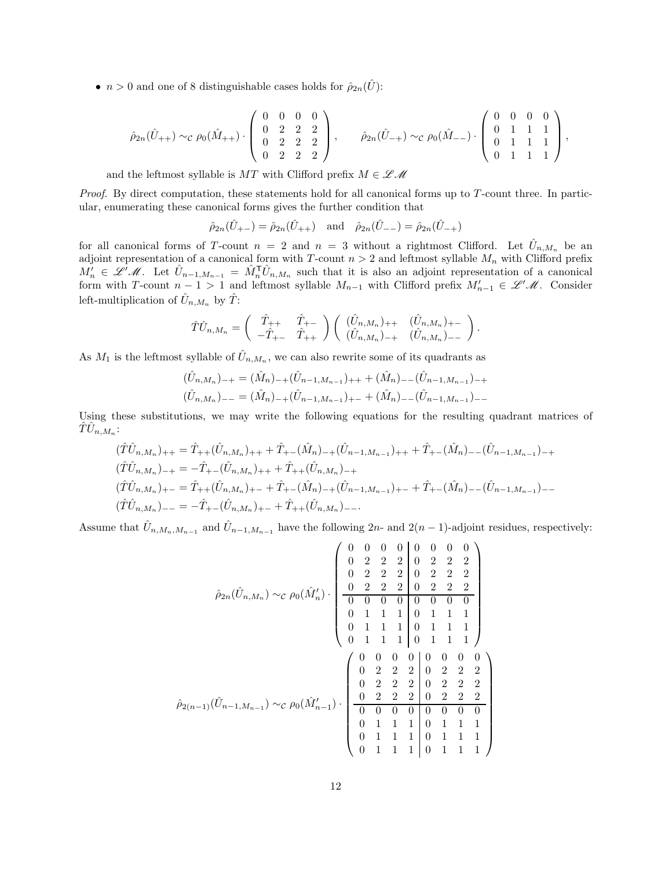•  $n > 0$  and one of 8 distinguishable cases holds for  $\hat{\rho}_{2n}(\hat{U})$ :

$$
\hat{\rho}_{2n}(\hat{U}_{++}) \sim_{\mathcal{C}} \rho_0(\hat{M}_{++}) \cdot \left( \begin{array}{cccc} 0 & 0 & 0 & 0 \\ 0 & 2 & 2 & 2 \\ 0 & 2 & 2 & 2 \\ 0 & 2 & 2 & 2 \end{array} \right), \qquad \hat{\rho}_{2n}(\hat{U}_{-+}) \sim_{\mathcal{C}} \rho_0(\hat{M}_{--}) \cdot \left( \begin{array}{cccc} 0 & 0 & 0 & 0 \\ 0 & 1 & 1 & 1 \\ 0 & 1 & 1 & 1 \\ 0 & 1 & 1 & 1 \end{array} \right),
$$

and the leftmost syllable is  $MT$  with Clifford prefix  $M\in \mathscr{L}\mathscr{M}$ 

Proof. By direct computation, these statements hold for all canonical forms up to T-count three. In particular, enumerating these canonical forms gives the further condition that

 $\hat{\rho}_{2n}(\hat{U}_{+-}) = \hat{\rho}_{2n}(\hat{U}_{++})$  and  $\hat{\rho}_{2n}(\hat{U}_{--}) = \hat{\rho}_{2n}(\hat{U}_{-+})$ 

for all canonical forms of T-count  $n = 2$  and  $n = 3$  without a rightmost Clifford. Let  $\hat{U}_{n,M_n}$  be an adjoint representation of a canonical form with T-count  $n > 2$  and leftmost syllable  $M_n$  with Clifford prefix  $M'_n \in \mathscr{L}^{\prime}(\mathscr{M})$ . Let  $\hat{U}_{n-1,M_{n-1}} = \hat{M}_n^{\mathsf{T}} \hat{U}_{n,M_n}$  such that it is also an adjoint representation of a canonical form with T-count  $n-1 > 1$  and leftmost syllable  $M_{n-1}$  with Clifford prefix  $M'_{n-1} \in \mathscr{L}'\mathscr{M}$ . Consider left-multiplication of  $\hat{U}_{n,M_n}$  by  $\hat{T}$ :

$$
\hat{T}\hat{U}_{n,M_n} = \begin{pmatrix} \hat{T}_{++} & \hat{T}_{+-} \\ -\hat{T}_{+-} & \hat{T}_{++} \end{pmatrix} \begin{pmatrix} (\hat{U}_{n,M_n})_{++} & (\hat{U}_{n,M_n})_{+-} \\ (\hat{U}_{n,M_n})_{-+} & (\hat{U}_{n,M_n})_{--} \end{pmatrix}.
$$

As  $M_1$  is the leftmost syllable of  $\hat{U}_{n,M_n}$ , we can also rewrite some of its quadrants as

$$
(\hat{U}_{n,M_n})_{-+} = (\hat{M}_n)_{-+}(\hat{U}_{n-1,M_{n-1}})_{++} + (\hat{M}_n)_{--}(\hat{U}_{n-1,M_{n-1}})_{-+}
$$
  

$$
(\hat{U}_{n,M_n})_{--} = (\hat{M}_n)_{-+}(\hat{U}_{n-1,M_{n-1}})_{+-} + (\hat{M}_n)_{--}(\hat{U}_{n-1,M_{n-1}})_{--}
$$

Using these substitutions, we may write the following equations for the resulting quadrant matrices of  $\hat{T}\hat{U}_{n,M_n}$ :

$$
(\hat{T}\hat{U}_{n,M_n})_{++} = \hat{T}_{++}(\hat{U}_{n,M_n})_{++} + \hat{T}_{+-}(\hat{M}_n)_{-+}(\hat{U}_{n-1,M_{n-1}})_{++} + \hat{T}_{+-}(\hat{M}_n)_{--}(\hat{U}_{n-1,M_{n-1}})_{-+}
$$
  
\n
$$
(\hat{T}\hat{U}_{n,M_n})_{-+} = -\hat{T}_{+-}(\hat{U}_{n,M_n})_{++} + \hat{T}_{++}(\hat{U}_{n,M_n})_{-+}
$$
  
\n
$$
(\hat{T}\hat{U}_{n,M_n})_{+-} = \hat{T}_{++}(\hat{U}_{n,M_n})_{+-} + \hat{T}_{+-}(\hat{M}_n)_{-+}(\hat{U}_{n-1,M_{n-1}})_{+-} + \hat{T}_{+-}(\hat{M}_n)_{--}(\hat{U}_{n-1,M_{n-1}})_{--}
$$
  
\n
$$
(\hat{T}\hat{U}_{n,M_n})_{--} = -\hat{T}_{+-}(\hat{U}_{n,M_n})_{+-} + \hat{T}_{++}(\hat{U}_{n,M_n})_{--}.
$$

Assume that  $\hat{U}_{n,M_n,M_{n-1}}$  and  $\hat{U}_{n-1,M_{n-1}}$  have the following  $2n$ - and  $2(n-1)$ -adjoint residues, respectively:

$$
\hat{\rho}_{2n}(\hat{U}_{n,M_n}) \sim_{\mathcal{C}} \rho_0(\hat{M}'_n) \cdot \begin{pmatrix}\n0 & 0 & 0 & 0 & 0 & 0 & 0 & 0 \\
0 & 2 & 2 & 2 & 0 & 2 & 2 & 2 \\
0 & 2 & 2 & 2 & 0 & 2 & 2 & 2 \\
\hline\n0 & 0 & 0 & 0 & 0 & 0 & 0 & 0 \\
0 & 1 & 1 & 1 & 0 & 1 & 1 & 1 \\
0 & 1 & 1 & 1 & 0 & 1 & 1 & 1 \\
0 & 1 & 1 & 1 & 0 & 1 & 1 & 1\n\end{pmatrix}
$$
\n
$$
\hat{\rho}_{2(n-1)}(\hat{U}_{n-1,M_{n-1}}) \sim_{\mathcal{C}} \rho_0(\hat{M}'_{n-1}) \cdot \begin{pmatrix}\n0 & 0 & 0 & 0 & 0 & 0 & 0 & 0 \\
0 & 2 & 2 & 2 & 0 & 2 & 2 & 2 \\
0 & 2 & 2 & 2 & 0 & 2 & 2 & 2 \\
0 & 2 & 2 & 2 & 0 & 2 & 2 & 2 \\
0 & 2 & 2 & 2 & 0 & 2 & 2 & 2 \\
\hline\n0 & 0 & 0 & 0 & 0 & 0 & 0 & 0 \\
0 & 1 & 1 & 1 & 0 & 1 & 1 & 1 \\
0 & 1 & 1 & 1 & 0 & 1 & 1 & 1\n\end{pmatrix}
$$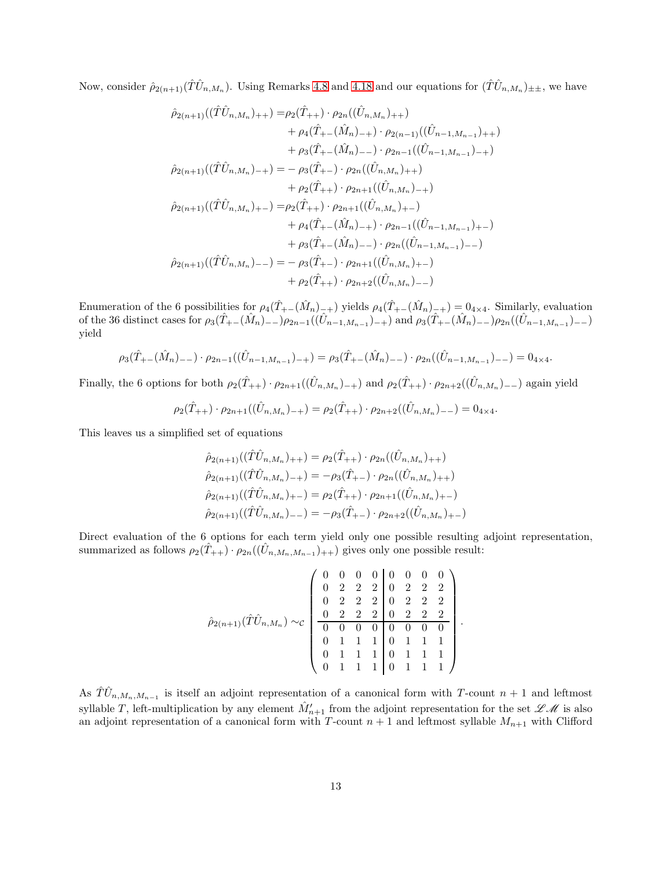Now, consider  $\hat{\rho}_{2(n+1)}(\hat{T}\hat{U}_{n,M_n})$ . Using Remarks [4.8](#page-5-0) and [4.18](#page-9-0) and our equations for  $(\hat{T}\hat{U}_{n,M_n})_{\pm\pm}$ , we have

$$
\hat{\rho}_{2(n+1)}((\hat{T}\hat{U}_{n,M_n})_{++}) = \rho_2(\hat{T}_{++}) \cdot \rho_{2n}((\hat{U}_{n,M_n})_{++}) \n+ \rho_4(\hat{T}_{+-}(\hat{M}_n)_{-+}) \cdot \rho_{2(n-1)}((\hat{U}_{n-1,M_{n-1}})_{++}) \n+ \rho_3(\hat{T}_{+-}(\hat{M}_n)_{--}) \cdot \rho_{2n-1}((\hat{U}_{n-1,M_{n-1}})_{-+}) \n\hat{\rho}_{2(n+1)}((\hat{T}\hat{U}_{n,M_n})_{-+}) = - \rho_3(\hat{T}_{+-}) \cdot \rho_{2n}((\hat{U}_{n,M_n})_{++}) \n+ \rho_2(\hat{T}_{++}) \cdot \rho_{2n+1}((\hat{U}_{n,M_n})_{--}) \n\hat{\rho}_{2(n+1)}((\hat{T}\hat{U}_{n,M_n})_{+-}) = \rho_2(\hat{T}_{++}) \cdot \rho_{2n+1}((\hat{U}_{n,M_n})_{+-}) \n+ \rho_4(\hat{T}_{+-}(\hat{M}_n)_{-+}) \cdot \rho_{2n-1}((\hat{U}_{n-1,M_{n-1}})_{+-}) \n+ \rho_3(\hat{T}_{+-}(\hat{M}_n)_{--}) \cdot \rho_{2n}((\hat{U}_{n-1,M_{n-1}})_{--}) \n\hat{\rho}_{2(n+1)}((\hat{T}\hat{U}_{n,M_n})_{--}) = - \rho_3(\hat{T}_{+-}) \cdot \rho_{2n+1}((\hat{U}_{n,M_n})_{+-}) \n+ \rho_2(\hat{T}_{++}) \cdot \rho_{2n+2}((\hat{U}_{n,M_n})_{--})
$$

Enumeration of the 6 possibilities for  $\rho_4(\hat{T}_{+-}(\hat{M}_n)_{-+})$  yields  $\rho_4(\hat{T}_{+-}(\hat{M}_n)_{-+}) = 0_{4\times 4}$ . Similarly, evaluation of the 36 distinct cases for  $\rho_3(\hat{T}_{+-}(\hat{M}_n)_{--})\rho_{2n-1}((\hat{U}_{n-1,M_{n-1}})_{-+})$  and  $\rho_3(\hat{T}_{+-}(\hat{M}_n)_{--})\rho_{2n}((\hat{U}_{n-1,M_{n-1}})_{--})$ yield

$$
\rho_3(\hat{T}_{+-}(\hat{M}_n)_{--}) \cdot \rho_{2n-1}((\hat{U}_{n-1,M_{n-1}})_{-+}) = \rho_3(\hat{T}_{+-}(\hat{M}_n)_{--}) \cdot \rho_{2n}((\hat{U}_{n-1,M_{n-1}})_{--}) = 0_{4 \times 4}.
$$

Finally, the 6 options for both  $\rho_2(\hat{T}_{++}) \cdot \rho_{2n+1}((\hat{U}_{n,M_n})_{-+})$  and  $\rho_2(\hat{T}_{++}) \cdot \rho_{2n+2}((\hat{U}_{n,M_n})_{--})$  again yield

$$
\rho_2(\hat{T}_{++}) \cdot \rho_{2n+1}((\hat{U}_{n,M_n})_{-+}) = \rho_2(\hat{T}_{++}) \cdot \rho_{2n+2}((\hat{U}_{n,M_n})_{--}) = 0_{4 \times 4}.
$$

This leaves us a simplified set of equations

$$
\hat{\rho}_{2(n+1)}((\hat{T}\hat{U}_{n,M_n})_{++}) = \rho_2(\hat{T}_{++}) \cdot \rho_{2n}((\hat{U}_{n,M_n})_{++})
$$
  

$$
\hat{\rho}_{2(n+1)}((\hat{T}\hat{U}_{n,M_n})_{-+}) = -\rho_3(\hat{T}_{+-}) \cdot \rho_{2n}((\hat{U}_{n,M_n})_{++})
$$
  

$$
\hat{\rho}_{2(n+1)}((\hat{T}\hat{U}_{n,M_n})_{+-}) = \rho_2(\hat{T}_{++}) \cdot \rho_{2n+1}((\hat{U}_{n,M_n})_{+-})
$$
  

$$
\hat{\rho}_{2(n+1)}((\hat{T}\hat{U}_{n,M_n})_{--}) = -\rho_3(\hat{T}_{+-}) \cdot \rho_{2n+2}((\hat{U}_{n,M_n})_{+-})
$$

Direct evaluation of the 6 options for each term yield only one possible resulting adjoint representation, summarized as follows  $\rho_2(\hat{T}_{++}) \cdot \rho_{2n}((\hat{U}_{n,M_n,M_{n-1}})_{++})$  gives only one possible result:

$$
\hat{\rho}_{2(n+1)}(\hat{T}\hat{U}_{n,M_n}) \sim_c \begin{pmatrix}\n0 & 0 & 0 & 0 & 0 & 0 & 0 & 0 \\
0 & 2 & 2 & 2 & 0 & 2 & 2 & 2 \\
0 & 2 & 2 & 2 & 0 & 2 & 2 & 2 \\
0 & 2 & 2 & 2 & 0 & 2 & 2 & 2 \\
\hline\n0 & 0 & 0 & 0 & 0 & 0 & 0 & 0 \\
0 & 1 & 1 & 1 & 0 & 1 & 1 & 1 \\
0 & 1 & 1 & 1 & 0 & 1 & 1 & 1 \\
0 & 1 & 1 & 1 & 0 & 1 & 1 & 1\n\end{pmatrix}
$$

.

As  $\hat{T}\hat{U}_{n,M_n,M_{n-1}}$  is itself an adjoint representation of a canonical form with T-count  $n+1$  and leftmost syllable T, left-multiplication by any element  $\hat{M}'_{n+1}$  from the adjoint representation for the set  $\mathscr{LM}$  is also an adjoint representation of a canonical form with T-count  $n + 1$  and leftmost syllable  $M_{n+1}$  with Clifford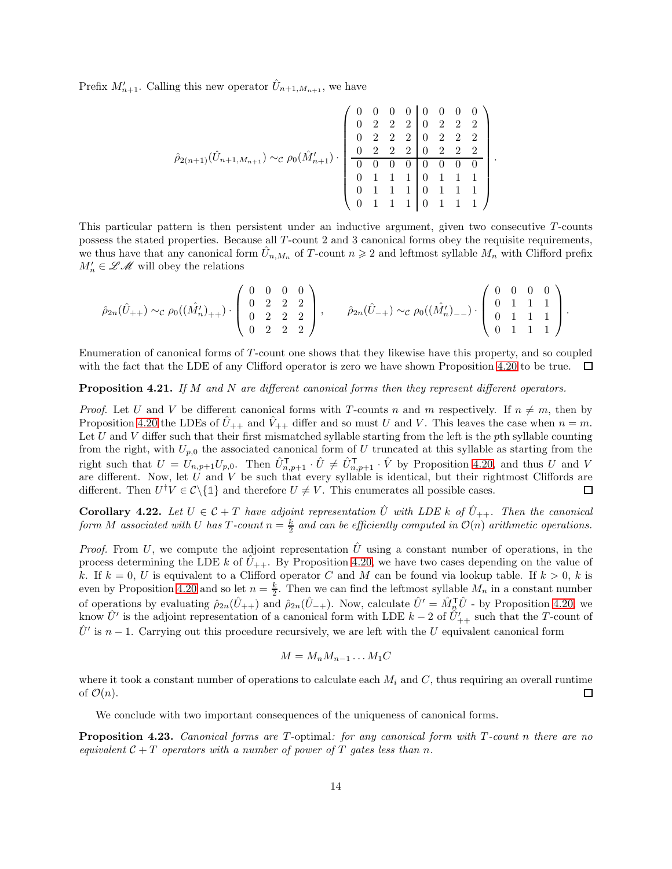Prefix  $M'_{n+1}$ . Calling this new operator  $\hat{U}_{n+1,M_{n+1}}$ , we have

$$
\hat{\rho}_{2(n+1)}(\hat{U}_{n+1,M_{n+1}}) \sim_{\mathcal{C}} \rho_0(\hat{M}_{n+1}') \cdot \begin{pmatrix} 0 & 0 & 0 & 0 & 0 & 0 & 0 \\ 0 & 2 & 2 & 2 & 0 & 2 & 2 & 2 \\ 0 & 2 & 2 & 2 & 0 & 2 & 2 & 2 \\ 0 & 2 & 2 & 2 & 0 & 2 & 2 & 2 \\ 0 & 0 & 0 & 0 & 0 & 0 & 0 & 0 \\ 0 & 1 & 1 & 1 & 0 & 1 & 1 & 1 \\ 0 & 1 & 1 & 1 & 0 & 1 & 1 & 1 \end{pmatrix}.
$$

This particular pattern is then persistent under an inductive argument, given two consecutive T-counts possess the stated properties. Because all T -count 2 and 3 canonical forms obey the requisite requirements, we thus have that any canonical form  $\hat{U}_{n,M_n}$  of T-count  $n \geq 2$  and leftmost syllable  $M_n$  with Clifford prefix  $M'_n \in \mathscr{L} \mathscr{M}$  will obey the relations

$$
\hat{\rho}_{2n}(\hat{U}_{++}) \sim_{\mathcal{C}} \rho_0((\hat{M}'_n)_{++}) \cdot \left( \begin{array}{cccc} 0 & 0 & 0 & 0 \\ 0 & 2 & 2 & 2 \\ 0 & 2 & 2 & 2 \\ 0 & 2 & 2 & 2 \end{array} \right), \qquad \hat{\rho}_{2n}(\hat{U}_{-+}) \sim_{\mathcal{C}} \rho_0((\hat{M}'_n)_{--}) \cdot \left( \begin{array}{cccc} 0 & 0 & 0 & 0 \\ 0 & 1 & 1 & 1 \\ 0 & 1 & 1 & 1 \\ 0 & 1 & 1 & 1 \end{array} \right).
$$

Enumeration of canonical forms of T -count one shows that they likewise have this property, and so coupled with the fact that the LDE of any Clifford operator is zero we have shown Proposition [4.20](#page-10-0) to be true.  $\Box$ 

#### <span id="page-13-0"></span>**Proposition 4.21.** If M and N are different canonical forms then they represent different operators.

*Proof.* Let U and V be different canonical forms with T-counts n and m respectively. If  $n \neq m$ , then by Proposition [4.20](#page-10-0) the LDEs of  $U_{++}$  and  $V_{++}$  differ and so must U and V. This leaves the case when  $n = m$ . Let U and V differ such that their first mismatched syllable starting from the left is the pth syllable counting from the right, with  $U_{p,0}$  the associated canonical form of U truncated at this syllable as starting from the right such that  $U = U_{n,p+1}U_{p,0}$ . Then  $\hat{U}_{n,p+1}^{\mathsf{T}} \cdot \hat{U} \neq \hat{U}_{n,p+1}^{\mathsf{T}} \cdot \hat{V}$  by Proposition [4.20,](#page-10-0) and thus U and V are different. Now, let U and V be such that every syllable is identical, but their rightmost Cliffords are different. Then  $U^{\dagger}V \in \mathcal{C}\backslash\{\mathbb{1}\}\$  and therefore  $U \neq V$ . This enumerates all possible cases.  $\Box$ 

**Corollary 4.22.** Let  $U \in \mathcal{C} + T$  have adjoint representation  $\hat{U}$  with LDE k of  $\hat{U}_{++}$ . Then the canonical form M associated with U has T-count  $n = \frac{k}{2}$  and can be efficiently computed in  $\mathcal{O}(n)$  arithmetic operations.

*Proof.* From U, we compute the adjoint representation  $\hat{U}$  using a constant number of operations, in the process determining the LDE k of  $U_{++}$ . By Proposition [4.20,](#page-10-0) we have two cases depending on the value of k. If  $k = 0$ , U is equivalent to a Clifford operator C and M can be found via lookup table. If  $k > 0$ , k is even by Proposition [4.20](#page-10-0) and so let  $n = \frac{k}{2}$ . Then we can find the leftmost syllable  $M_n$  in a constant number of operations by evaluating  $\hat{\rho}_{2n}(\hat{U}_{++})$  and  $\hat{\rho}_{2n}(\hat{U}_{-+})$ . Now, calculate  $\hat{U}' = \hat{M}_n^{\mathsf{T}}\hat{U}$  - by Proposition [4.20,](#page-10-0) we know  $\hat{U}'$  is the adjoint representation of a canonical form with LDE  $k-2$  of  $\hat{U}'_{++}$  such that the T-count of  $\hat{U}'$  is  $n-1$ . Carrying out this procedure recursively, we are left with the U equivalent canonical form

$$
M = M_n M_{n-1} \dots M_1 C
$$

where it took a constant number of operations to calculate each  $M_i$  and  $C$ , thus requiring an overall runtime of  $\mathcal{O}(n)$ . □

We conclude with two important consequences of the uniqueness of canonical forms.

Proposition 4.23. Canonical forms are T-optimal: for any canonical form with T-count n there are no equivalent  $C + T$  operators with a number of power of T gates less than n.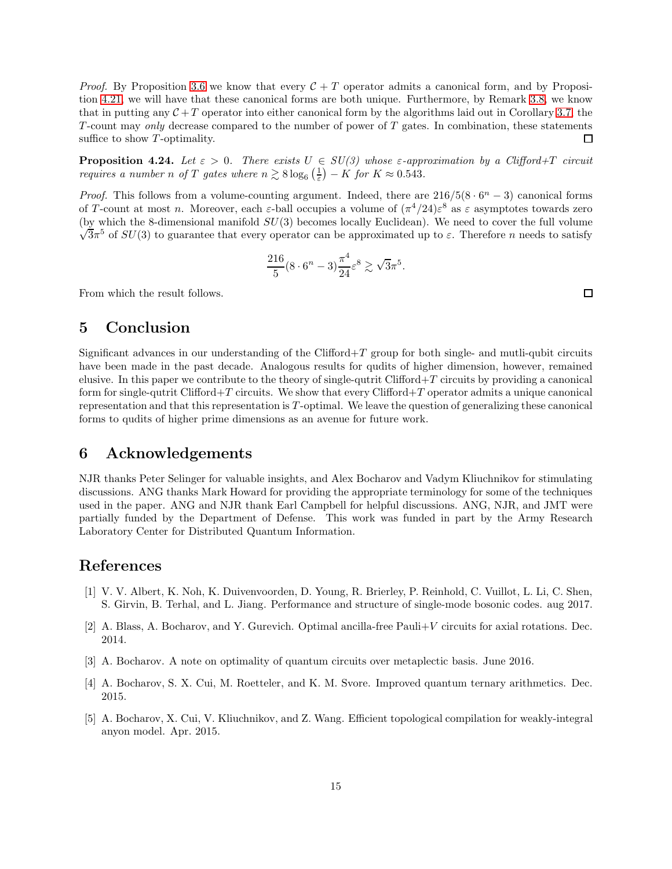*Proof.* By Proposition [3.6](#page-2-5) we know that every  $C + T$  operator admits a canonical form, and by Proposition [4.21,](#page-13-0) we will have that these canonical forms are both unique. Furthermore, by Remark [3.8,](#page-3-2) we know that in putting any  $\mathcal{C} + T$  operator into either canonical form by the algorithms laid out in Corollary [3.7,](#page-3-1) the  $T$ -count may only decrease compared to the number of power of  $T$  gates. In combination, these statements suffice to show  $T$ -optimality.  $\Box$ 

**Proposition 4.24.** Let  $\varepsilon > 0$ . There exists  $U \in SU(3)$  whose  $\varepsilon$ -approximation by a Clifford+T circuit requires a number n of T gates where  $n \gtrsim 8 \log_6 \left(\frac{1}{\varepsilon}\right) - K$  for  $K \approx 0.543$ .

*Proof.* This follows from a volume-counting argument. Indeed, there are  $216/5(8 \cdot 6^n - 3)$  canonical forms of T-count at most n. Moreover, each  $\varepsilon$ -ball occupies a volume of  $(\pi^4/24)\varepsilon^8$  as  $\varepsilon$  asymptotes towards zero  $\sqrt{3}\pi^5$  of  $SU(3)$  to guarantee that every operator can be approximated up to ε. Therefore *n* needs to satisfy (by which the 8-dimensional manifold  $SU(3)$  becomes locally Euclidean). We need to cover the full volume

$$
\frac{216}{5}(8\cdot 6^n - 3)\frac{\pi^4}{24}\varepsilon^8 \gtrsim \sqrt{3}\pi^5
$$

.

From which the result follows.

### 5 Conclusion

Significant advances in our understanding of the Clifford+T group for both single- and mutli-qubit circuits have been made in the past decade. Analogous results for qudits of higher dimension, however, remained elusive. In this paper we contribute to the theory of single-qutrit Clifford $+T$  circuits by providing a canonical form for single-qutrit Clifford+T circuits. We show that every Clifford+T operator admits a unique canonical representation and that this representation is  $T$ -optimal. We leave the question of generalizing these canonical forms to qudits of higher prime dimensions as an avenue for future work.

### 6 Acknowledgements

NJR thanks Peter Selinger for valuable insights, and Alex Bocharov and Vadym Kliuchnikov for stimulating discussions. ANG thanks Mark Howard for providing the appropriate terminology for some of the techniques used in the paper. ANG and NJR thank Earl Campbell for helpful discussions. ANG, NJR, and JMT were partially funded by the Department of Defense. This work was funded in part by the Army Research Laboratory Center for Distributed Quantum Information.

### <span id="page-14-2"></span>References

- [1] V. V. Albert, K. Noh, K. Duivenvoorden, D. Young, R. Brierley, P. Reinhold, C. Vuillot, L. Li, C. Shen, S. Girvin, B. Terhal, and L. Jiang. Performance and structure of single-mode bosonic codes. aug 2017.
- <span id="page-14-3"></span><span id="page-14-0"></span>[2] A. Blass, A. Bocharov, and Y. Gurevich. Optimal ancilla-free Pauli+V circuits for axial rotations. Dec. 2014.
- <span id="page-14-4"></span>[3] A. Bocharov. A note on optimality of quantum circuits over metaplectic basis. June 2016.
- <span id="page-14-1"></span>[4] A. Bocharov, S. X. Cui, M. Roetteler, and K. M. Svore. Improved quantum ternary arithmetics. Dec. 2015.
- [5] A. Bocharov, X. Cui, V. Kliuchnikov, and Z. Wang. Efficient topological compilation for weakly-integral anyon model. Apr. 2015.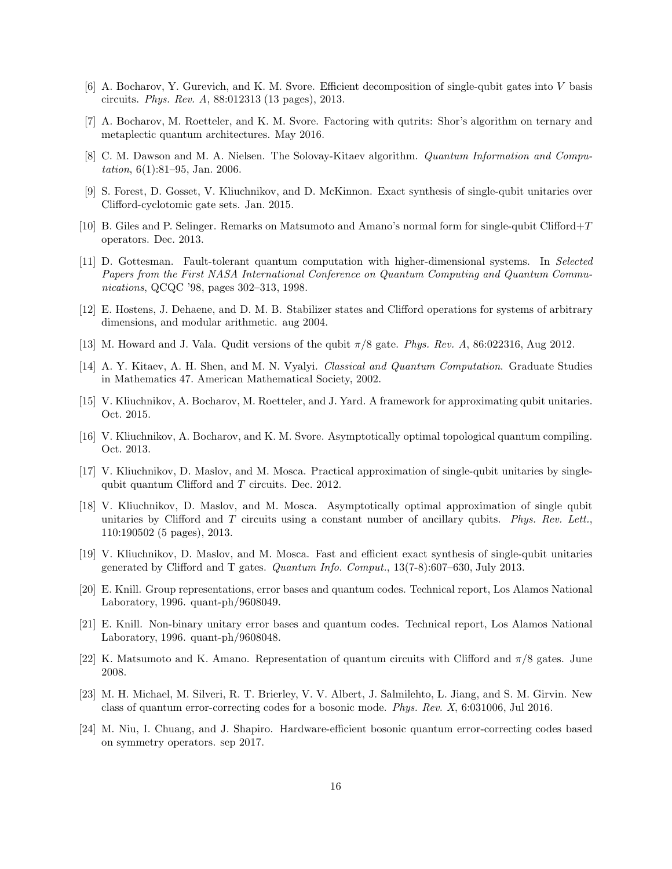- <span id="page-15-4"></span>[6] A. Bocharov, Y. Gurevich, and K. M. Svore. Efficient decomposition of single-qubit gates into V basis circuits. Phys. Rev. A, 88:012313 (13 pages), 2013.
- <span id="page-15-10"></span><span id="page-15-0"></span>[7] A. Bocharov, M. Roetteler, and K. M. Svore. Factoring with qutrits: Shor's algorithm on ternary and metaplectic quantum architectures. May 2016.
- [8] C. M. Dawson and M. A. Nielsen. The Solovay-Kitaev algorithm. *Quantum Information and Compu*tation, 6(1):81–95, Jan. 2006.
- <span id="page-15-13"></span><span id="page-15-12"></span>[9] S. Forest, D. Gosset, V. Kliuchnikov, and D. McKinnon. Exact synthesis of single-qubit unitaries over Clifford-cyclotomic gate sets. Jan. 2015.
- <span id="page-15-16"></span>[10] B. Giles and P. Selinger. Remarks on Matsumoto and Amano's normal form for single-qubit Clifford+T operators. Dec. 2013.
- [11] D. Gottesman. Fault-tolerant quantum computation with higher-dimensional systems. In Selected Papers from the First NASA International Conference on Quantum Computing and Quantum Communications, QCQC '98, pages 302–313, 1998.
- <span id="page-15-11"></span><span id="page-15-7"></span>[12] E. Hostens, J. Dehaene, and D. M. B. Stabilizer states and Clifford operations for systems of arbitrary dimensions, and modular arithmetic. aug 2004.
- <span id="page-15-1"></span>[13] M. Howard and J. Vala. Qudit versions of the qubit  $\pi/8$  gate. Phys. Rev. A, 86:022316, Aug 2012.
- <span id="page-15-5"></span>[14] A. Y. Kitaev, A. H. Shen, and M. N. Vyalyi. Classical and Quantum Computation. Graduate Studies in Mathematics 47. American Mathematical Society, 2002.
- <span id="page-15-6"></span>[15] V. Kliuchnikov, A. Bocharov, M. Roetteler, and J. Yard. A framework for approximating qubit unitaries. Oct. 2015.
- <span id="page-15-2"></span>[16] V. Kliuchnikov, A. Bocharov, and K. M. Svore. Asymptotically optimal topological quantum compiling. Oct. 2013.
- [17] V. Kliuchnikov, D. Maslov, and M. Mosca. Practical approximation of single-qubit unitaries by singlequbit quantum Clifford and T circuits. Dec. 2012.
- <span id="page-15-3"></span>[18] V. Kliuchnikov, D. Maslov, and M. Mosca. Asymptotically optimal approximation of single qubit unitaries by Clifford and  $T$  circuits using a constant number of ancillary qubits. Phys. Rev. Lett. 110:190502 (5 pages), 2013.
- <span id="page-15-14"></span>[19] V. Kliuchnikov, D. Maslov, and M. Mosca. Fast and efficient exact synthesis of single-qubit unitaries generated by Clifford and T gates. Quantum Info. Comput., 13(7-8):607–630, July 2013.
- <span id="page-15-18"></span>[20] E. Knill. Group representations, error bases and quantum codes. Technical report, Los Alamos National Laboratory, 1996. quant-ph/9608049.
- <span id="page-15-17"></span>[21] E. Knill. Non-binary unitary error bases and quantum codes. Technical report, Los Alamos National Laboratory, 1996. quant-ph/9608048.
- <span id="page-15-15"></span><span id="page-15-8"></span>[22] K. Matsumoto and K. Amano. Representation of quantum circuits with Clifford and  $\pi/8$  gates. June 2008.
- [23] M. H. Michael, M. Silveri, R. T. Brierley, V. V. Albert, J. Salmilehto, L. Jiang, and S. M. Girvin. New class of quantum error-correcting codes for a bosonic mode. Phys. Rev. X, 6:031006, Jul 2016.
- <span id="page-15-9"></span>[24] M. Niu, I. Chuang, and J. Shapiro. Hardware-efficient bosonic quantum error-correcting codes based on symmetry operators. sep 2017.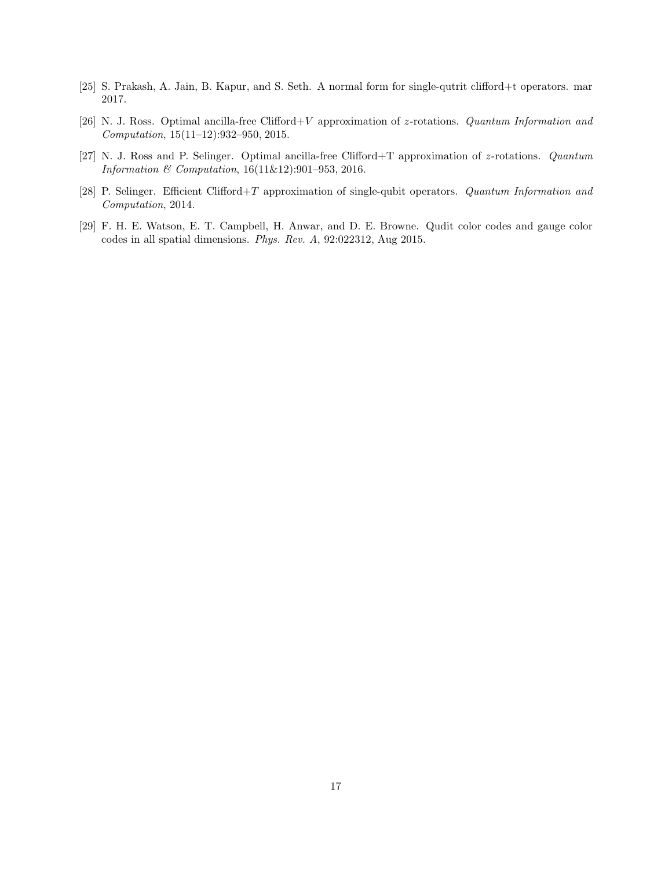- <span id="page-16-4"></span><span id="page-16-2"></span>[25] S. Prakash, A. Jain, B. Kapur, and S. Seth. A normal form for single-qutrit clifford+t operators. mar 2017.
- [26] N. J. Ross. Optimal ancilla-free Clifford+V approximation of z-rotations. Quantum Information and Computation, 15(11–12):932–950, 2015.
- <span id="page-16-0"></span>[27] N. J. Ross and P. Selinger. Optimal ancilla-free Clifford+T approximation of z-rotations. Quantum Information & Computation, 16(11&12):901–953, 2016.
- <span id="page-16-1"></span>[28] P. Selinger. Efficient Clifford+T approximation of single-qubit operators. Quantum Information and Computation, 2014.
- <span id="page-16-3"></span>[29] F. H. E. Watson, E. T. Campbell, H. Anwar, and D. E. Browne. Qudit color codes and gauge color codes in all spatial dimensions. Phys. Rev. A, 92:022312, Aug 2015.